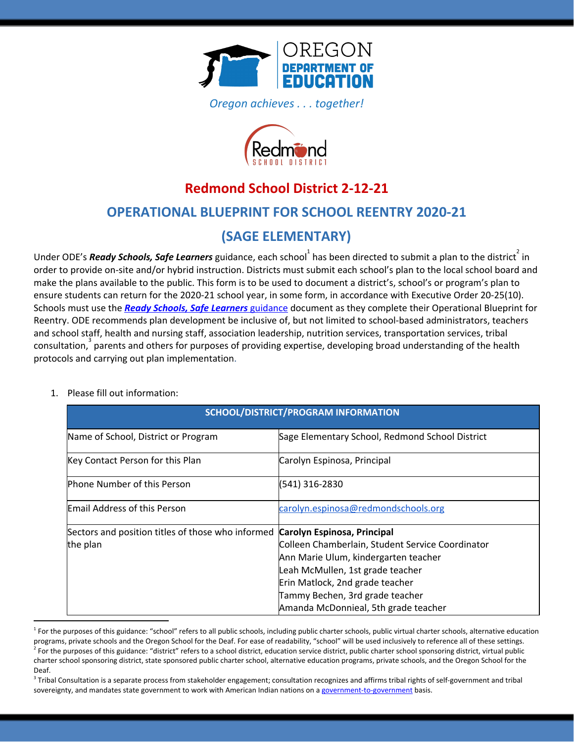

*Oregon achieves . . . together!*



# **Redmond School District 2-12-21**

# **OPERATIONAL BLUEPRINT FOR SCHOOL REENTRY 2020-21**

# **(SAGE ELEMENTARY)**

Under ODE's *Ready Schools, Safe Learners* guidance, each school<sup>1</sup> has been directed to submit a plan to the district<sup>2</sup> in order to provide on-site and/or hybrid instruction. Districts must submit each school's plan to the local school board and make the plans available to the public. This form is to be used to document a district's, school's or program's plan to ensure students can return for the 2020-21 school year, in some form, in accordance with Executive Order 20-25(10). Schools must use the *Ready Schools, Safe [Learners](https://www.oregon.gov/ode/students-and-family/healthsafety/Documents/Ready%20Schools%20Safe%20Learners%202020-21%20Guidance.pdf)* [guidance](https://www.oregon.gov/ode/students-and-family/healthsafety/Documents/Ready%20Schools%20Safe%20Learners%202020-21%20Guidance.pdf) document as they complete their Operational Blueprint for Reentry. ODE recommends plan development be inclusive of, but not limited to school-based administrators, teachers and school staff, health and nursing staff, association leadership, nutrition services, transportation services, tribal  $\cos$  consultation,  $\sin^3$  parents and others for purposes of providing expertise, developing broad understanding of the health protocols and carrying out plan implementation.

#### 1. Please fill out information:

| <b>SCHOOL/DISTRICT/PROGRAM INFORMATION</b>        |                                                  |
|---------------------------------------------------|--------------------------------------------------|
| Name of School, District or Program               | Sage Elementary School, Redmond School District  |
| Key Contact Person for this Plan                  | Carolyn Espinosa, Principal                      |
| <b>Phone Number of this Person</b>                | (541) 316-2830                                   |
| <b>Email Address of this Person</b>               | carolyn.espinosa@redmondschools.org              |
| Sectors and position titles of those who informed | Carolyn Espinosa, Principal                      |
| the plan                                          | Colleen Chamberlain, Student Service Coordinator |
|                                                   | Ann Marie Ulum, kindergarten teacher             |
|                                                   | Leah McMullen, 1st grade teacher                 |
|                                                   | Erin Matlock, 2nd grade teacher                  |
|                                                   | Tammy Bechen, 3rd grade teacher                  |
|                                                   | Amanda McDonnieal, 5th grade teacher             |

<sup>&</sup>lt;sup>1</sup> For the purposes of this guidance: "school" refers to all public schools, including public charter schools, public virtual charter schools, alternative education programs, private schools and the Oregon School for the Deaf. For ease of readability, "school" will be used inclusively to reference all of these settings.  $^2$  For the purposes of this guidance: "district" refers to a school district, education service district, public charter school sponsoring district, virtual public charter school sponsoring district, state sponsored public charter school, alternative education programs, private schools, and the Oregon School for the Deaf.

 $3$  Tribal Consultation is a separate process from stakeholder engagement; consultation recognizes and affirms tribal rights of self-government and tribal sovereignty, and mandates state government to work with American Indian nations on a [government-to-government](http://www.nrc4tribes.org/files/Tab%209_9H%20Oregon%20SB770.pdf) basis.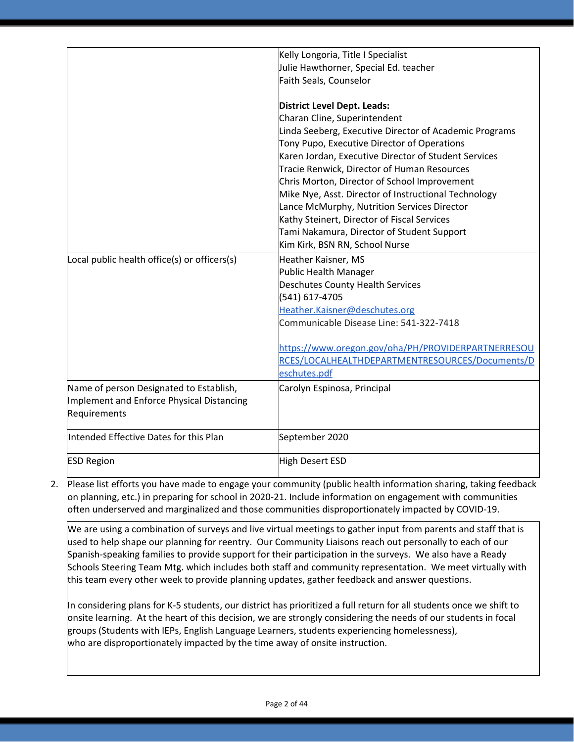|                                              | Kelly Longoria, Title I Specialist                     |
|----------------------------------------------|--------------------------------------------------------|
|                                              | Julie Hawthorner, Special Ed. teacher                  |
|                                              | Faith Seals, Counselor                                 |
|                                              |                                                        |
|                                              | <b>District Level Dept. Leads:</b>                     |
|                                              | Charan Cline, Superintendent                           |
|                                              | Linda Seeberg, Executive Director of Academic Programs |
|                                              | Tony Pupo, Executive Director of Operations            |
|                                              | Karen Jordan, Executive Director of Student Services   |
|                                              | Tracie Renwick, Director of Human Resources            |
|                                              | Chris Morton, Director of School Improvement           |
|                                              | Mike Nye, Asst. Director of Instructional Technology   |
|                                              | Lance McMurphy, Nutrition Services Director            |
|                                              | Kathy Steinert, Director of Fiscal Services            |
|                                              | Tami Nakamura, Director of Student Support             |
|                                              | Kim Kirk, BSN RN, School Nurse                         |
| Local public health office(s) or officers(s) | Heather Kaisner, MS                                    |
|                                              | Public Health Manager                                  |
|                                              | <b>Deschutes County Health Services</b>                |
|                                              | (541) 617-4705                                         |
|                                              | Heather.Kaisner@deschutes.org                          |
|                                              | Communicable Disease Line: 541-322-7418                |
|                                              | https://www.oregon.gov/oha/PH/PROVIDERPARTNERRESOU     |
|                                              | RCES/LOCALHEALTHDEPARTMENTRESOURCES/Documents/D        |
|                                              | eschutes.pdf                                           |
| Name of person Designated to Establish,      | Carolyn Espinosa, Principal                            |
| Implement and Enforce Physical Distancing    |                                                        |
| Requirements                                 |                                                        |
|                                              |                                                        |
| Intended Effective Dates for this Plan       | September 2020                                         |
| <b>ESD Region</b>                            | High Desert ESD                                        |

2. Please list efforts you have made to engage your community (public health information sharing, taking feedback on planning, etc.) in preparing for school in 2020-21. Include information on engagement with communities often underserved and marginalized and those communities disproportionately impacted by COVID-19.

We are using a combination of surveys and live virtual meetings to gather input from parents and staff that is used to help shape our planning for reentry. Our Community Liaisons reach out personally to each of our Spanish-speaking families to provide support for their participation in the surveys. We also have a Ready Schools Steering Team Mtg. which includes both staff and community representation. We meet virtually with this team every other week to provide planning updates, gather feedback and answer questions.

In considering plans for K-5 students, our district has prioritized a full return for all students once we shift to onsite learning. At the heart of this decision, we are strongly considering the needs of our students in focal groups (Students with IEPs, English Language Learners, students experiencing homelessness), who are disproportionately impacted by the time away of onsite instruction.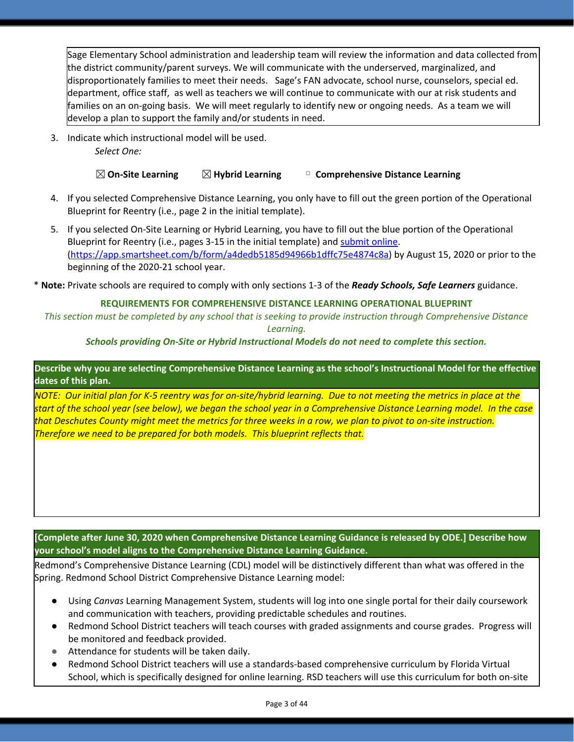Sage Elementary School administration and leadership team will review the information and data collected from the district community/parent surveys. We will communicate with the underserved, marginalized, and disproportionately families to meet their needs. Sage's FAN advocate, school nurse, counselors, special ed. department, office staff, as well as teachers we will continue to communicate with our at risk students and families on an on-going basis. We will meet regularly to identify new or ongoing needs. As a team we will develop a plan to support the family and/or students in need.

3. Indicate which instructional model will be used. *Select One:*

☒**On-Site Learning** ☒**Hybrid Learning** ▢ **Comprehensive Distance Learning**

- 4. If you selected Comprehensive Distance Learning, you only have to fill out the green portion of the Operational Blueprint for Reentry (i.e., page 2 in the initial template).
- 5. If you selected On-Site Learning or Hybrid Learning, you have to fill out the blue portion of the Operational Blueprint for Reentry (i.e., pages 3-15 in the initial template) and [submit](https://app.smartsheet.com/b/form/a4dedb5185d94966b1dffc75e4874c8a) online. [\(https://app.smartsheet.com/b/form/a4dedb5185d94966b1dffc75e4874c8a\)](https://app.smartsheet.com/b/form/a4dedb5185d94966b1dffc75e4874c8a) by August 15, 2020 or prior to the beginning of the 2020-21 school year.

\* **Note:** Private schools are required to comply with only sections 1-3 of the *Ready Schools, Safe Learners* guidance.

#### **REQUIREMENTS FOR COMPREHENSIVE DISTANCE LEARNING OPERATIONAL BLUEPRINT**

This section must be completed by any school that is seeking to provide instruction through Comprehensive Distance *Learning.*

#### *Schools providing On-Site or Hybrid Instructional Models do not need to complete this section.*

Describe why you are selecting Comprehensive Distance Learning as the school's Instructional Model for the effective **dates of this plan.**

NOTE: Our initial plan for K-5 reentry was for on-site/hybrid learning. Due to not meeting the metrics in place at the start of the school year (see below), we began the school year in a Comprehensive Distance Learning model. In the case that Deschutes County might meet the metrics for three weeks in a row, we plan to pivot to on-site instruction. *Therefore we need to be prepared for both models. This blueprint reflects that.*

**[Complete after June 30, 2020 when Comprehensive Distance Learning Guidance is released by ODE.] Describe how your school's model aligns to the Comprehensive Distance Learning Guidance.**

Redmond's Comprehensive Distance Learning (CDL) model will be distinctively different than what was offered in the Spring. Redmond School District Comprehensive Distance Learning model:

- Using *Canvas* Learning Management System, students will log into one single portal for their daily coursework and communication with teachers, providing predictable schedules and routines.
- Redmond School District teachers will teach courses with graded assignments and course grades. Progress will be monitored and feedback provided.
- Attendance for students will be taken daily.
- Redmond School District teachers will use a standards-based comprehensive curriculum by Florida Virtual School, which is specifically designed for online learning. RSD teachers will use this curriculum for both on-site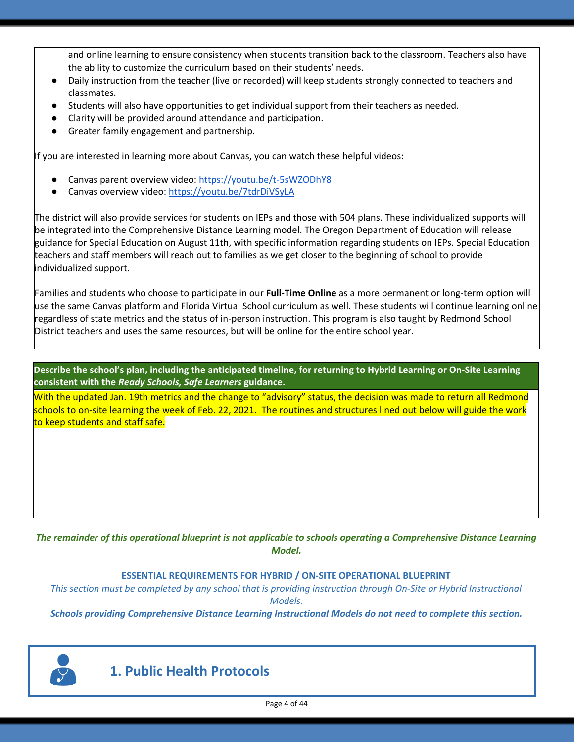and online learning to ensure consistency when students transition back to the classroom. Teachers also have the ability to customize the curriculum based on their students' needs.

- Daily instruction from the teacher (live or recorded) will keep students strongly connected to teachers and classmates.
- Students will also have opportunities to get individual support from their teachers as needed.
- Clarity will be provided around attendance and participation.
- Greater family engagement and partnership.

If you are interested in learning more about Canvas, you can watch these helpful videos:

- Canvas parent overview video: <https://youtu.be/t-5sWZODhY8>
- Canvas overview video: <https://youtu.be/7tdrDiVSyLA>

The district will also provide services for students on IEPs and those with 504 plans. These individualized supports will be integrated into the Comprehensive Distance Learning model. The Oregon Department of Education will release guidance for Special Education on August 11th, with specific information regarding students on IEPs. Special Education teachers and staff members will reach out to families as we get closer to the beginning of school to provide individualized support.

Families and students who choose to participate in our **Full-Time Online** as a more permanent or long-term option will use the same Canvas platform and Florida Virtual School curriculum as well. These students will continue learning online regardless of state metrics and the status of in-person instruction. This program is also taught by Redmond School District teachers and uses the same resources, but will be online for the entire school year.

Describe the school's plan, including the anticipated timeline, for returning to Hybrid Learning or On-Site Learning **consistent with the** *Ready Schools, Safe Learners* **guidance.**

With the updated Jan. 19th metrics and the change to "advisory" status, the decision was made to return all Redmond schools to on-site learning the week of Feb. 22, 2021. The routines and structures lined out below will guide the work to keep students and staff safe.

The remainder of this operational blueprint is not applicable to schools operating a Comprehensive Distance Learning *Model.*

#### **ESSENTIAL REQUIREMENTS FOR HYBRID / ON-SITE OPERATIONAL BLUEPRINT**

This section must be completed by any school that is providing instruction through On-Site or Hybrid Instructional *Models.*

*Schools providing Comprehensive Distance Learning Instructional Models do not need to complete this section.*



**1. Public Health Protocols**

Page 4 of 44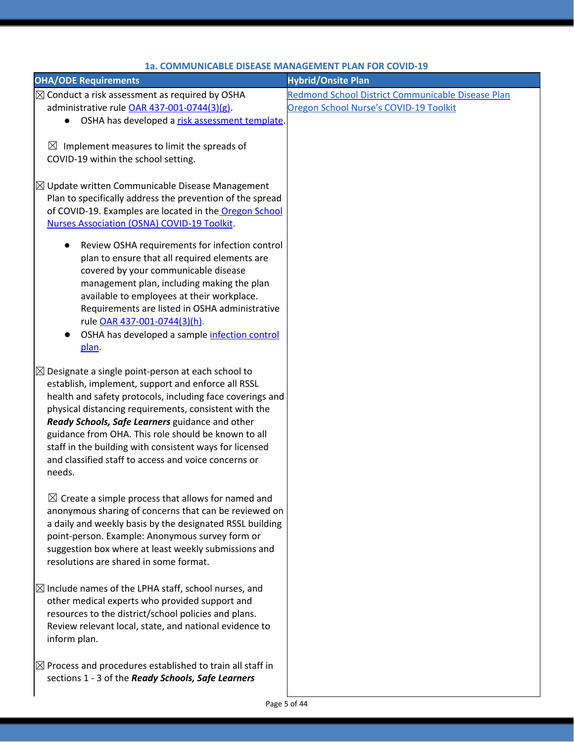| <b>OHA/ODE Requirements</b>                                                                            | <b>Hybrid/Onsite Plan</b>                         |
|--------------------------------------------------------------------------------------------------------|---------------------------------------------------|
| $\boxtimes$ Conduct a risk assessment as required by OSHA                                              | Redmond School District Communicable Disease Plan |
| administrative rule OAR 437-001-0744(3)(g).                                                            | Oregon School Nurse's COVID-19 Toolkit            |
| OSHA has developed a risk assessment template.                                                         |                                                   |
|                                                                                                        |                                                   |
| $\boxtimes$ Implement measures to limit the spreads of                                                 |                                                   |
| COVID-19 within the school setting.                                                                    |                                                   |
|                                                                                                        |                                                   |
| $\boxtimes$ Update written Communicable Disease Management                                             |                                                   |
| Plan to specifically address the prevention of the spread                                              |                                                   |
| of COVID-19. Examples are located in the Oregon School                                                 |                                                   |
| Nurses Association (OSNA) COVID-19 Toolkit.                                                            |                                                   |
| Review OSHA requirements for infection control                                                         |                                                   |
| plan to ensure that all required elements are                                                          |                                                   |
| covered by your communicable disease                                                                   |                                                   |
| management plan, including making the plan                                                             |                                                   |
| available to employees at their workplace.                                                             |                                                   |
| Requirements are listed in OSHA administrative                                                         |                                                   |
| rule OAR 437-001-0744(3)(h).                                                                           |                                                   |
| OSHA has developed a sample infection control                                                          |                                                   |
| plan.                                                                                                  |                                                   |
| $\boxtimes$ Designate a single point-person at each school to                                          |                                                   |
| establish, implement, support and enforce all RSSL                                                     |                                                   |
| health and safety protocols, including face coverings and                                              |                                                   |
| physical distancing requirements, consistent with the                                                  |                                                   |
| Ready Schools, Safe Learners guidance and other<br>guidance from OHA. This role should be known to all |                                                   |
| staff in the building with consistent ways for licensed                                                |                                                   |
| and classified staff to access and voice concerns or                                                   |                                                   |
| needs.                                                                                                 |                                                   |
|                                                                                                        |                                                   |
| $\boxtimes$ Create a simple process that allows for named and                                          |                                                   |
| anonymous sharing of concerns that can be reviewed on                                                  |                                                   |
| a daily and weekly basis by the designated RSSL building                                               |                                                   |
| point-person. Example: Anonymous survey form or                                                        |                                                   |
| suggestion box where at least weekly submissions and                                                   |                                                   |
| resolutions are shared in some format.                                                                 |                                                   |
|                                                                                                        |                                                   |
| $\boxtimes$ Include names of the LPHA staff, school nurses, and                                        |                                                   |
| other medical experts who provided support and<br>resources to the district/school policies and plans. |                                                   |
| Review relevant local, state, and national evidence to                                                 |                                                   |
| inform plan.                                                                                           |                                                   |
|                                                                                                        |                                                   |
| $\boxtimes$ Process and procedures established to train all staff in                                   |                                                   |
| sections 1 - 3 of the Ready Schools, Safe Learners                                                     |                                                   |
|                                                                                                        |                                                   |

#### **1a. COMMUNICABLE DISEASE MANAGEMENT PLAN FOR COVID-19**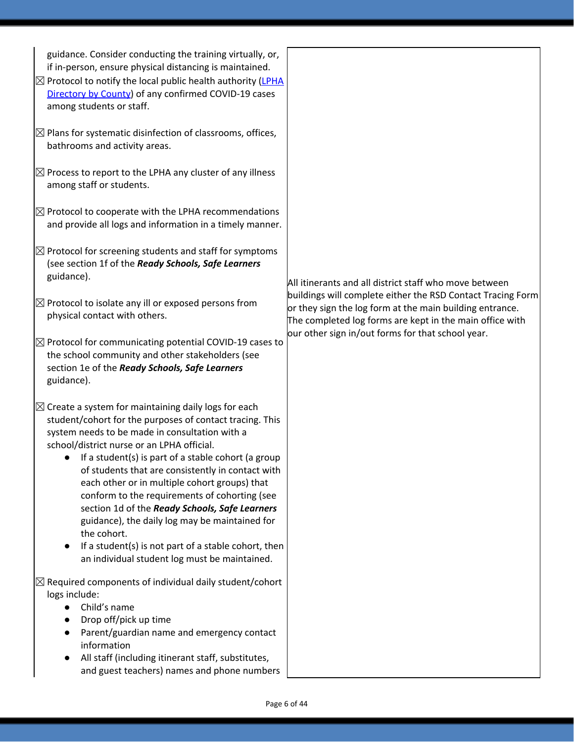| guidance. Consider conducting the training virtually, or,<br>if in-person, ensure physical distancing is maintained.<br>$\boxtimes$ Protocol to notify the local public health authority (LPHA<br>Directory by County) of any confirmed COVID-19 cases<br>among students or staff.                                                                                                                                                                                                                                                                                                                                                                                    |                                                                                                                                                                                     |
|-----------------------------------------------------------------------------------------------------------------------------------------------------------------------------------------------------------------------------------------------------------------------------------------------------------------------------------------------------------------------------------------------------------------------------------------------------------------------------------------------------------------------------------------------------------------------------------------------------------------------------------------------------------------------|-------------------------------------------------------------------------------------------------------------------------------------------------------------------------------------|
| $\boxtimes$ Plans for systematic disinfection of classrooms, offices,<br>bathrooms and activity areas.                                                                                                                                                                                                                                                                                                                                                                                                                                                                                                                                                                |                                                                                                                                                                                     |
| $\boxtimes$ Process to report to the LPHA any cluster of any illness<br>among staff or students.                                                                                                                                                                                                                                                                                                                                                                                                                                                                                                                                                                      |                                                                                                                                                                                     |
| $\boxtimes$ Protocol to cooperate with the LPHA recommendations<br>and provide all logs and information in a timely manner.                                                                                                                                                                                                                                                                                                                                                                                                                                                                                                                                           |                                                                                                                                                                                     |
| $\boxtimes$ Protocol for screening students and staff for symptoms<br>(see section 1f of the Ready Schools, Safe Learners<br>guidance).                                                                                                                                                                                                                                                                                                                                                                                                                                                                                                                               | All itinerants and all district staff who move between                                                                                                                              |
| $\boxtimes$ Protocol to isolate any ill or exposed persons from<br>physical contact with others.                                                                                                                                                                                                                                                                                                                                                                                                                                                                                                                                                                      | buildings will complete either the RSD Contact Tracing Form<br>or they sign the log form at the main building entrance.<br>The completed log forms are kept in the main office with |
| $\boxtimes$ Protocol for communicating potential COVID-19 cases to<br>the school community and other stakeholders (see<br>section 1e of the Ready Schools, Safe Learners<br>guidance).                                                                                                                                                                                                                                                                                                                                                                                                                                                                                | our other sign in/out forms for that school year.                                                                                                                                   |
| $\boxtimes$ Create a system for maintaining daily logs for each<br>student/cohort for the purposes of contact tracing. This<br>system needs to be made in consultation with a<br>school/district nurse or an LPHA official.<br>If a student(s) is part of a stable cohort (a group<br>of students that are consistently in contact with<br>each other or in multiple cohort groups) that<br>conform to the requirements of cohorting (see<br>section 1d of the Ready Schools, Safe Learners<br>guidance), the daily log may be maintained for<br>the cohort.<br>If a student(s) is not part of a stable cohort, then<br>an individual student log must be maintained. |                                                                                                                                                                                     |
| $\boxtimes$ Required components of individual daily student/cohort<br>logs include:<br>Child's name<br>Drop off/pick up time<br>Parent/guardian name and emergency contact<br>information<br>All staff (including itinerant staff, substitutes,<br>and guest teachers) names and phone numbers                                                                                                                                                                                                                                                                                                                                                                        |                                                                                                                                                                                     |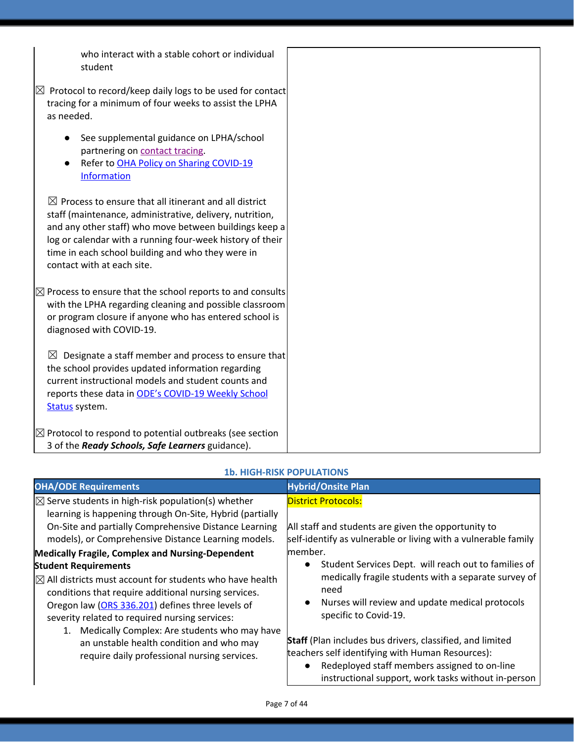who interact with a stable cohort or individual student

| stuuelit                                                                                                                                                                                                                                                                                                                                |
|-----------------------------------------------------------------------------------------------------------------------------------------------------------------------------------------------------------------------------------------------------------------------------------------------------------------------------------------|
| $\boxtimes$ Protocol to record/keep daily logs to be used for contact<br>tracing for a minimum of four weeks to assist the LPHA<br>as needed.                                                                                                                                                                                           |
| See supplemental guidance on LPHA/school<br>partnering on contact tracing.<br>Refer to OHA Policy on Sharing COVID-19<br><b>Information</b>                                                                                                                                                                                             |
| $\boxtimes$ Process to ensure that all itinerant and all district<br>staff (maintenance, administrative, delivery, nutrition,<br>and any other staff) who move between buildings keep a<br>log or calendar with a running four-week history of their<br>time in each school building and who they were in<br>contact with at each site. |
| $\boxtimes$ Process to ensure that the school reports to and consults<br>with the LPHA regarding cleaning and possible classroom<br>or program closure if anyone who has entered school is<br>diagnosed with COVID-19.                                                                                                                  |
| Designate a staff member and process to ensure that<br>$\boxtimes$<br>the school provides updated information regarding<br>current instructional models and student counts and<br>reports these data in ODE's COVID-19 Weekly School<br>Status system.                                                                                  |
| $\boxtimes$ Protocol to respond to potential outbreaks (see section<br>3 of the Ready Schools, Safe Learners guidance).                                                                                                                                                                                                                 |

#### **OHA/ODE Requirements Hybrid/Onsite Plan**  $\boxtimes$  Serve students in high-risk population(s) whether learning is happening through On-Site, Hybrid (partially On-Site and partially Comprehensive Distance Learning models), or Comprehensive Distance Learning models. District Protocols: All staff and students are given the opportunity to self-identify as vulnerable or living with a vulnerable family member. ● Student Services Dept. will reach out to families of medically fragile students with a separate survey of need ● Nurses will review and update medical protocols specific to Covid-19. **Staff** (Plan includes bus drivers, classified, and limited teachers self identifying with Human Resources): ● Redeployed staff members assigned to on-line instructional support, work tasks without in-person **Medically Fragile, Complex and Nursing-Dependent Student Requirements**  $\boxtimes$  All districts must account for students who have health conditions that require additional nursing services. Oregon law (ORS [336.201](https://www.oregonlaws.org/ors/336.201)) defines three levels of severity related to required nursing services: 1. Medically Complex: Are students who may have an unstable health condition and who may require daily professional nursing services.

### **1b. HIGH-RISK POPULATIONS**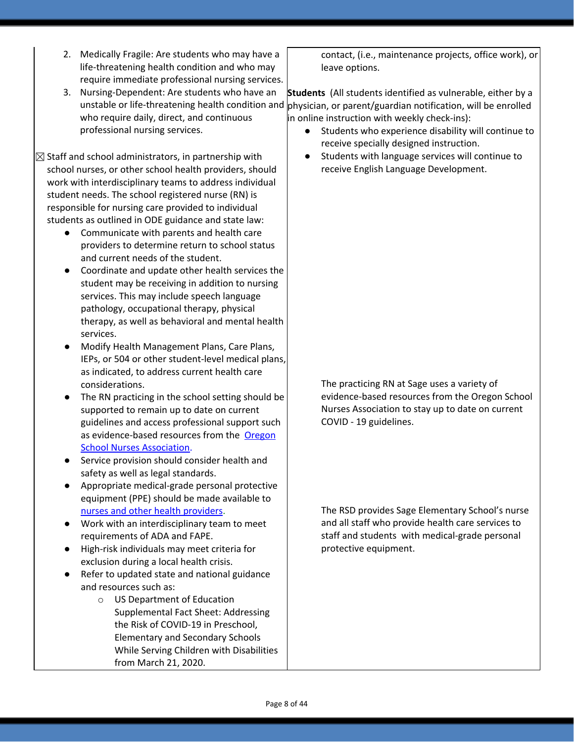- 2. Medically Fragile: Are students who may have a life-threatening health condition and who may require immediate professional nursing services.
- 3. Nursing-Dependent: Are students who have an unstable or life-threatening health condition and who require daily, direct, and continuous professional nursing services.

 $\boxtimes$  Staff and school administrators, in partnership with school nurses, or other school health providers, should work with interdisciplinary teams to address individual student needs. The school registered nurse (RN) is responsible for nursing care provided to individual students as outlined in ODE guidance and state law:

- Communicate with parents and health care providers to determine return to school status and current needs of the student.
- Coordinate and update other health services the student may be receiving in addition to nursing services. This may include speech language pathology, occupational therapy, physical therapy, as well as behavioral and mental health services.
- Modify Health Management Plans, Care Plans, IEPs, or 504 or other student-level medical plans, as indicated, to address current health care considerations.
- The RN practicing in the school setting should be supported to remain up to date on current guidelines and access professional support such as evidence-based resources from the [Oregon](https://www.oregonschoolnurses.org/resources/covid-19-toolkit) School Nurses [Association](https://www.oregonschoolnurses.org/resources/covid-19-toolkit).
- Service provision should consider health and safety as well as legal standards.
- Appropriate medical-grade personal protective equipment (PPE) should be made available t[o](https://www.oregon.gov/ode/students-and-family/healthsafety/Documents/Additional%20Considerations%20for%20Staff%20Working%20with%20Students%20with%20Complex%20Needs.pdf) nurses and other health [providers.](https://www.oregon.gov/ode/students-and-family/healthsafety/Documents/Additional%20Considerations%20for%20Staff%20Working%20with%20Students%20with%20Complex%20Needs.pdf)
- Work with an interdisciplinary team to meet requirements of ADA and FAPE.
- High-risk individuals may meet criteria for exclusion during a local health crisis.
- Refer to updated state and national guidance and resources such as:
	- o US Department of Education Supplemental Fact Sheet: Addressing the Risk of COVID-19 in Preschool, Elementary and Secondary Schools While Serving Children with Disabilities from March 21, 2020.

contact, (i.e., maintenance projects, office work), or leave options.

**Students** (All students identified as vulnerable, either by a physician, or parent/guardian notification, will be enrolled in online instruction with weekly check-ins):

- Students who experience disability will continue to receive specially designed instruction.
- Students with language services will continue to receive English Language Development.

The practicing RN at Sage uses a variety of evidence-based resources from the Oregon School Nurses Association to stay up to date on current COVID - 19 guidelines.

The RSD provides Sage Elementary School's nurse and all staff who provide health care services to staff and students with medical-grade personal protective equipment.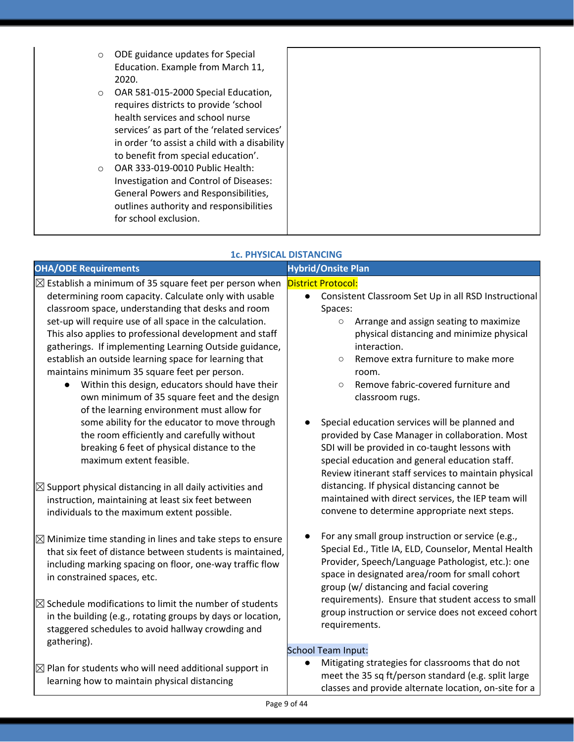| $\circ$  | ODE guidance updates for Special<br>Education. Example from March 11,<br>2020.                                                                                                                                                                          |  |
|----------|---------------------------------------------------------------------------------------------------------------------------------------------------------------------------------------------------------------------------------------------------------|--|
| $\circ$  | OAR 581-015-2000 Special Education,<br>requires districts to provide 'school<br>health services and school nurse<br>services' as part of the 'related services'<br>in order 'to assist a child with a disability<br>to benefit from special education'. |  |
| $\Omega$ | OAR 333-019-0010 Public Health:<br>Investigation and Control of Diseases:<br>General Powers and Responsibilities,<br>outlines authority and responsibilities<br>for school exclusion.                                                                   |  |

### **1c. PHYSICAL DISTANCING**

#### **OHA/ODE** Requirements **All and Security Construction Construction Construction Construction Construction Construction Construction Construction Construction Construction Construction Construction Construction Construction**  $\boxtimes$  Establish a minimum of 35 square feet per person when determining room capacity. Calculate only with usable classroom space, understanding that desks and room set-up will require use of all space in the calculation. This also applies to professional development and staff gatherings. If implementing Learning Outside guidance, establish an outside learning space for learning that maintains minimum 35 square feet per person. Within this design, educators should have their own minimum of 35 square feet and the design of the learning environment must allow for some ability for the educator to move through the room efficiently and carefully without breaking 6 feet of physical distance to the maximum extent feasible. District Protocol: Consistent Classroom Set Up in all RSD Instructional Spaces: ○ Arrange and assign seating to maximize physical distancing and minimize physical interaction. ○ Remove extra furniture to make more room. ○ Remove fabric-covered furniture and classroom rugs. Special education services will be planned and provided by Case Manager in collaboration. Most SDI will be provided in co-taught lessons with special education and general education staff. Review itinerant staff services to maintain physical distancing. If physical distancing cannot be maintained with direct services, the IEP team will convene to determine appropriate next steps. For any small group instruction or service (e.g., Special Ed., Title IA, ELD, Counselor, Mental Health Provider, Speech/Language Pathologist, etc.): one space in designated area/room for small cohort group (w/ distancing and facial covering requirements). Ensure that student access to small group instruction or service does not exceed cohort requirements. School Team Input:  $\boxtimes$  Support physical distancing in all daily activities and instruction, maintaining at least six feet between individuals to the maximum extent possible.  $\boxtimes$  Minimize time standing in lines and take steps to ensure that six feet of distance between students is maintained, including marking spacing on floor, one-way traffic flow in constrained spaces, etc.  $\boxtimes$  Schedule modifications to limit the number of students in the building (e.g., rotating groups by days or location, staggered schedules to avoid hallway crowding and gathering).

- $\boxtimes$  Plan for students who will need additional support in learning how to maintain physical distancing
- Mitigating strategies for classrooms that do not meet the 35 sq ft/person standard (e.g. split large classes and provide alternate location, on-site for a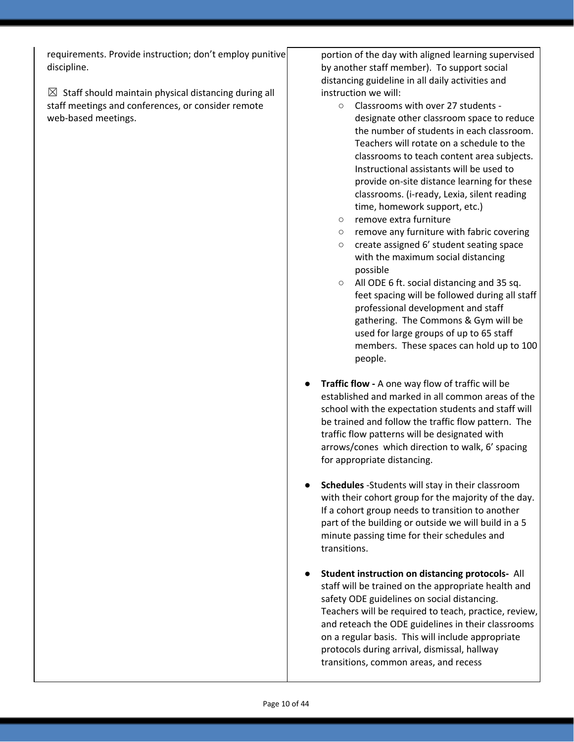requirements. Provide instruction; don't employ punitive discipline.

 $\boxtimes$  Staff should maintain physical distancing during all staff meetings and conferences, or consider remote web-based meetings.

portion of the day with aligned learning supervised by another staff member). To support social distancing guideline in all daily activities and instruction we will:

- Classrooms with over 27 students designate other classroom space to reduce the number of students in each classroom. Teachers will rotate on a schedule to the classrooms to teach content area subjects. Instructional assistants will be used to provide on-site distance learning for these classrooms. (i-ready, Lexia, silent reading time, homework support, etc.)
- remove extra furniture
- remove any furniture with fabric covering
- create assigned 6' student seating space with the maximum social distancing possible
- All ODE 6 ft. social distancing and 35 sq. feet spacing will be followed during all staff professional development and staff gathering. The Commons & Gym will be used for large groups of up to 65 staff members. These spaces can hold up to 100 people.
- **Traffic flow -** A one way flow of traffic will be established and marked in all common areas of the school with the expectation students and staff will be trained and follow the traffic flow pattern. The traffic flow patterns will be designated with arrows/cones which direction to walk, 6' spacing for appropriate distancing.
- **Schedules** -Students will stay in their classroom with their cohort group for the majority of the day. If a cohort group needs to transition to another part of the building or outside we will build in a 5 minute passing time for their schedules and transitions.
- **● Student instruction on distancing protocols-** All staff will be trained on the appropriate health and safety ODE guidelines on social distancing. Teachers will be required to teach, practice, review, and reteach the ODE guidelines in their classrooms on a regular basis. This will include appropriate protocols during arrival, dismissal, hallway transitions, common areas, and recess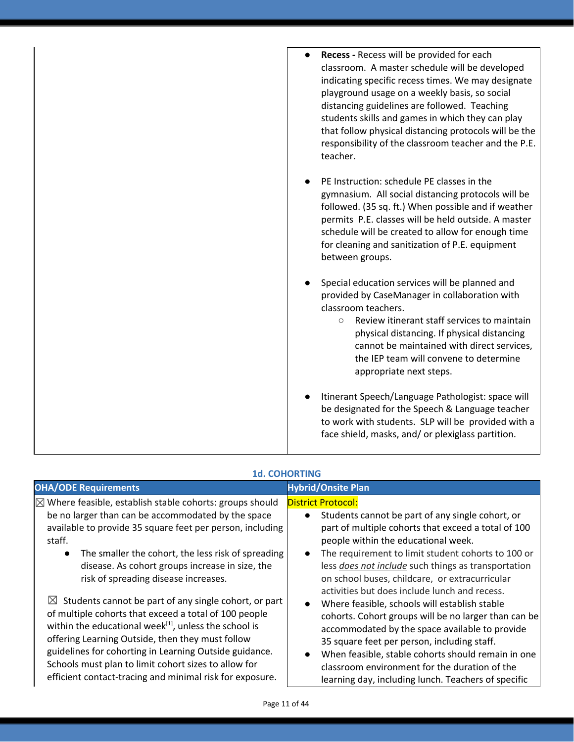| Recess - Recess will be provided for each<br>classroom. A master schedule will be developed<br>indicating specific recess times. We may designate<br>playground usage on a weekly basis, so social<br>distancing guidelines are followed. Teaching<br>students skills and games in which they can play<br>that follow physical distancing protocols will be the<br>responsibility of the classroom teacher and the P.E.<br>teacher. |
|-------------------------------------------------------------------------------------------------------------------------------------------------------------------------------------------------------------------------------------------------------------------------------------------------------------------------------------------------------------------------------------------------------------------------------------|
| PE Instruction: schedule PE classes in the<br>gymnasium. All social distancing protocols will be<br>followed. (35 sq. ft.) When possible and if weather<br>permits P.E. classes will be held outside. A master<br>schedule will be created to allow for enough time<br>for cleaning and sanitization of P.E. equipment<br>between groups.                                                                                           |
| Special education services will be planned and<br>provided by CaseManager in collaboration with<br>classroom teachers.<br>Review itinerant staff services to maintain<br>$\circ$<br>physical distancing. If physical distancing<br>cannot be maintained with direct services,<br>the IEP team will convene to determine<br>appropriate next steps.                                                                                  |
| Itinerant Speech/Language Pathologist: space will<br>be designated for the Speech & Language teacher<br>to work with students. SLP will be provided with a<br>face shield, masks, and/ or plexiglass partition.                                                                                                                                                                                                                     |

| <b>OHA/ODE Requirements</b>                                                                                                                                                                                                                                                                                                                                                                                                       | <b>Hybrid/Onsite Plan</b>                                                                                                                                                                                                                                                                                                                                                                                                    |
|-----------------------------------------------------------------------------------------------------------------------------------------------------------------------------------------------------------------------------------------------------------------------------------------------------------------------------------------------------------------------------------------------------------------------------------|------------------------------------------------------------------------------------------------------------------------------------------------------------------------------------------------------------------------------------------------------------------------------------------------------------------------------------------------------------------------------------------------------------------------------|
| $\boxtimes$ Where feasible, establish stable cohorts: groups should<br>be no larger than can be accommodated by the space<br>available to provide 35 square feet per person, including<br>staff.<br>The smaller the cohort, the less risk of spreading<br>$\bullet$<br>disease. As cohort groups increase in size, the<br>risk of spreading disease increases.                                                                    | <b>District Protocol:</b><br>Students cannot be part of any single cohort, or<br>$\bullet$<br>part of multiple cohorts that exceed a total of 100<br>people within the educational week.<br>The requirement to limit student cohorts to 100 or<br>$\bullet$<br>less <i>does not include</i> such things as transportation<br>on school buses, childcare, or extracurricular<br>activities but does include lunch and recess. |
| $\boxtimes$ Students cannot be part of any single cohort, or part<br>of multiple cohorts that exceed a total of 100 people<br>within the educational week <sup>[1]</sup> , unless the school is<br>offering Learning Outside, then they must follow<br>guidelines for cohorting in Learning Outside guidance.<br>Schools must plan to limit cohort sizes to allow for<br>efficient contact-tracing and minimal risk for exposure. | Where feasible, schools will establish stable<br>$\bullet$<br>cohorts. Cohort groups will be no larger than can be<br>accommodated by the space available to provide<br>35 square feet per person, including staff.<br>When feasible, stable cohorts should remain in one<br>$\bullet$<br>classroom environment for the duration of the<br>learning day, including lunch. Teachers of specific                               |

### **1d. COHORTING**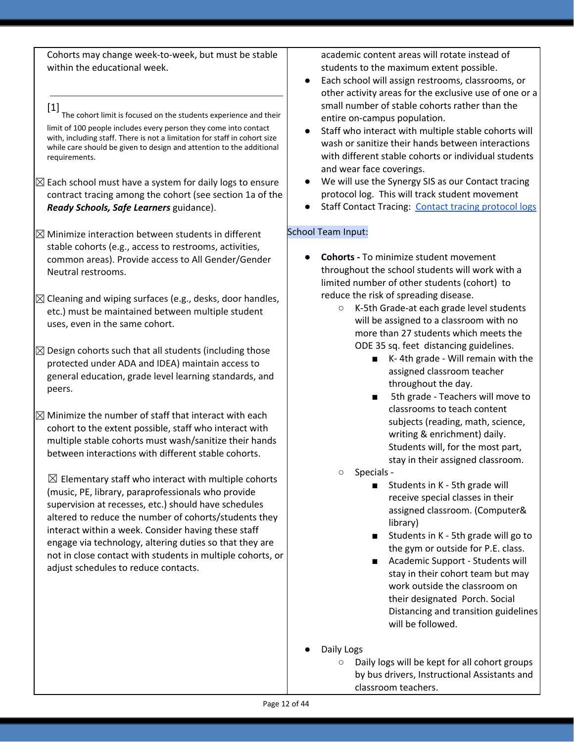Cohorts may change week-to-week, but must be stable within the educational week.

[1] The cohort limit is focused on the students experience and their limit of 100 people includes every person they come into contact with, including staff. There is not a limitation for staff in cohort size while care should be given to design and attention to the additional requirements.

- $\boxtimes$  Each school must have a system for daily logs to ensure contract tracing among the cohort (see section 1a of the *Ready Schools, Safe Learners* guidance).
- $\boxtimes$  Minimize interaction between students in different stable cohorts (e.g., access to restrooms, activities, common areas). Provide access to All Gender/Gender Neutral restrooms.
- $\boxtimes$  Cleaning and wiping surfaces (e.g., desks, door handles, etc.) must be maintained between multiple student uses, even in the same cohort.
- $\boxtimes$  Design cohorts such that all students (including those protected under ADA and IDEA) maintain access to general education, grade level learning standards, and peers.
- $\boxtimes$  Minimize the number of staff that interact with each cohort to the extent possible, staff who interact with multiple stable cohorts must wash/sanitize their hands between interactions with different stable cohorts.

 $\boxtimes$  Elementary staff who interact with multiple cohorts (music, PE, library, paraprofessionals who provide supervision at recesses, etc.) should have schedules altered to reduce the number of cohorts/students they interact within a week. Consider having these staff engage via technology, altering duties so that they are not in close contact with students in multiple cohorts, or adjust schedules to reduce contacts.

academic content areas will rotate instead of students to the maximum extent possible.

- Each school will assign restrooms, classrooms, or other activity areas for the exclusive use of one or a small number of stable cohorts rather than the entire on-campus population.
- Staff who interact with multiple stable cohorts will wash or sanitize their hands between interactions with different stable cohorts or individual students and wear face coverings.
- We will use the Synergy SIS as our Contact tracing protocol log. This will track student movement
- Staff Contact Tracing: Contact tracing [protocol](https://docs.google.com/document/d/1hj6nIWiN7zIQ6gVQLIsV3iR_tX3w8YgSvfHYoRkBuCc/edit?usp=sharing) logs

# School Team Input:

- **● Cohorts -** To minimize student movement throughout the school students will work with a limited number of other students (cohort) to reduce the risk of spreading disease.
	- K-5th Grade-at each grade level students will be assigned to a classroom with no more than 27 students which meets the ODE 35 sq. feet distancing guidelines.
		- K-4th grade Will remain with the assigned classroom teacher throughout the day.
		- 5th grade Teachers will move to classrooms to teach content subjects (reading, math, science, writing & enrichment) daily. Students will, for the most part, stay in their assigned classroom.
	- Specials -
		- Students in K 5th grade will receive special classes in their assigned classroom. (Computer& library)
		- Students in K 5th grade will go to the gym or outside for P.E. class.
		- Academic Support Students will stay in their cohort team but may work outside the classroom on their designated Porch. Social Distancing and transition guidelines will be followed.
- Daily Logs
	- Daily logs will be kept for all cohort groups by bus drivers, Instructional Assistants and classroom teachers.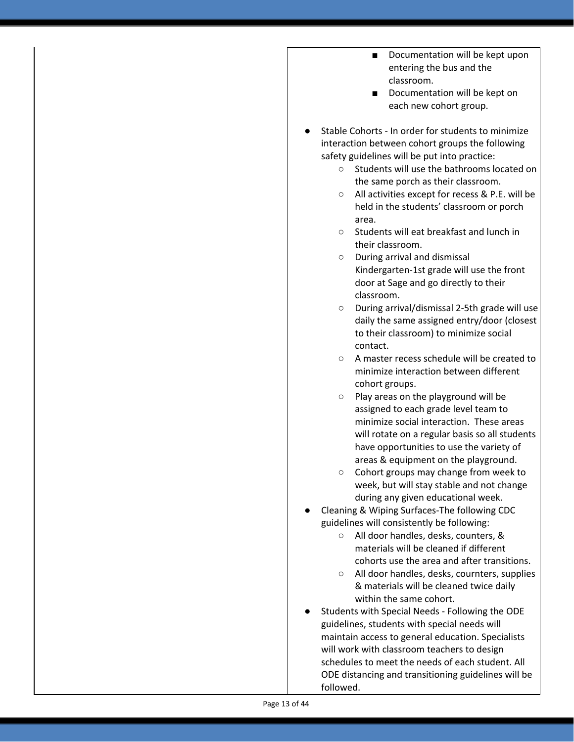- Documentation will be kept upon entering the bus and the classroom.
- Documentation will be kept on each new cohort group.
- Stable Cohorts In order for students to minimize interaction between cohort groups the following safety guidelines will be put into practice:
	- Students will use the bathrooms located on the same porch as their classroom.
	- All activities except for recess & P.E. will be held in the students' classroom or porch area.
	- Students will eat breakfast and lunch in their classroom.
	- During arrival and dismissal Kindergarten-1st grade will use the front door at Sage and go directly to their classroom.
	- During arrival/dismissal 2-5th grade will use daily the same assigned entry/door (closest to their classroom) to minimize social contact.
	- A master recess schedule will be created to minimize interaction between different cohort groups.
	- Play areas on the playground will be assigned to each grade level team to minimize social interaction. These areas will rotate on a regular basis so all students have opportunities to use the variety of areas & equipment on the playground.
	- Cohort groups may change from week to week, but will stay stable and not change during any given educational week.
- Cleaning & Wiping Surfaces-The following CDC guidelines will consistently be following:
	- All door handles, desks, counters, & materials will be cleaned if different cohorts use the area and after transitions.
	- All door handles, desks, cournters, supplies & materials will be cleaned twice daily within the same cohort.
- Students with Special Needs Following the ODE guidelines, students with special needs will maintain access to general education. Specialists will work with classroom teachers to design schedules to meet the needs of each student. All ODE distancing and transitioning guidelines will be followed.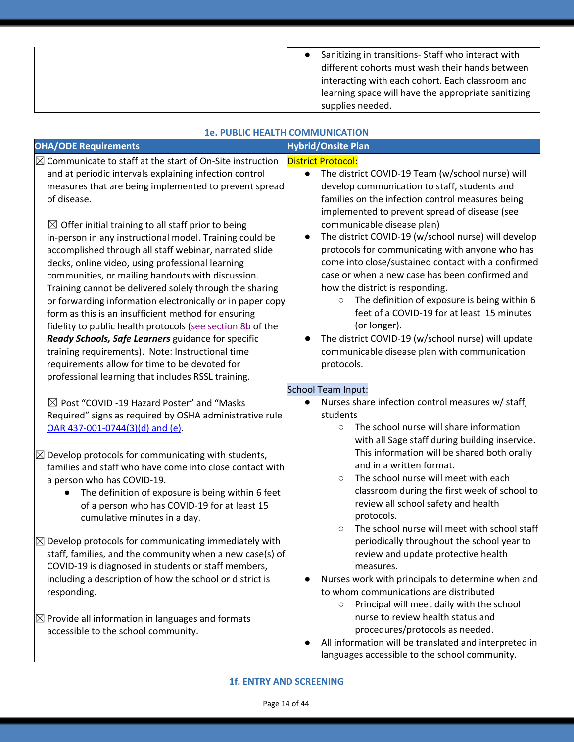| Sanitizing in transitions-Staff who interact with   |
|-----------------------------------------------------|
| different cohorts must wash their hands between     |
| interacting with each cohort. Each classroom and    |
| learning space will have the appropriate sanitizing |
| supplies needed.                                    |

| <b>1e. PUBLIC HEALTH COMMUNICATION</b>                                                                                                                                                                                                                                                                                                                                                                                                                                                                                                                                                                                                                                                                                                                                                                                                                                                                                                                               |                                                                                                                                                                                                                                                                                                                                                                                                                                                                                                                                                                                                                                                                                                                                                                                              |  |
|----------------------------------------------------------------------------------------------------------------------------------------------------------------------------------------------------------------------------------------------------------------------------------------------------------------------------------------------------------------------------------------------------------------------------------------------------------------------------------------------------------------------------------------------------------------------------------------------------------------------------------------------------------------------------------------------------------------------------------------------------------------------------------------------------------------------------------------------------------------------------------------------------------------------------------------------------------------------|----------------------------------------------------------------------------------------------------------------------------------------------------------------------------------------------------------------------------------------------------------------------------------------------------------------------------------------------------------------------------------------------------------------------------------------------------------------------------------------------------------------------------------------------------------------------------------------------------------------------------------------------------------------------------------------------------------------------------------------------------------------------------------------------|--|
| <b>OHA/ODE Requirements</b>                                                                                                                                                                                                                                                                                                                                                                                                                                                                                                                                                                                                                                                                                                                                                                                                                                                                                                                                          | <b>Hybrid/Onsite Plan</b>                                                                                                                                                                                                                                                                                                                                                                                                                                                                                                                                                                                                                                                                                                                                                                    |  |
| $\boxtimes$ Communicate to staff at the start of On-Site instruction<br>and at periodic intervals explaining infection control<br>measures that are being implemented to prevent spread<br>of disease.<br>$\boxtimes$ Offer initial training to all staff prior to being<br>in-person in any instructional model. Training could be<br>accomplished through all staff webinar, narrated slide<br>decks, online video, using professional learning<br>communities, or mailing handouts with discussion.<br>Training cannot be delivered solely through the sharing<br>or forwarding information electronically or in paper copy<br>form as this is an insufficient method for ensuring<br>fidelity to public health protocols (see section 8b of the<br>Ready Schools, Safe Learners guidance for specific<br>training requirements). Note: Instructional time<br>requirements allow for time to be devoted for<br>professional learning that includes RSSL training. | <b>District Protocol:</b><br>The district COVID-19 Team (w/school nurse) will<br>$\bullet$<br>develop communication to staff, students and<br>families on the infection control measures being<br>implemented to prevent spread of disease (see<br>communicable disease plan)<br>The district COVID-19 (w/school nurse) will develop<br>$\bullet$<br>protocols for communicating with anyone who has<br>come into close/sustained contact with a confirmed<br>case or when a new case has been confirmed and<br>how the district is responding.<br>The definition of exposure is being within 6<br>$\circ$<br>feet of a COVID-19 for at least 15 minutes<br>(or longer).<br>The district COVID-19 (w/school nurse) will update<br>communicable disease plan with communication<br>protocols. |  |
| $\boxtimes$ Post "COVID -19 Hazard Poster" and "Masks<br>Required" signs as required by OSHA administrative rule<br>OAR 437-001-0744(3)(d) and (e).<br>$\boxtimes$ Develop protocols for communicating with students,<br>families and staff who have come into close contact with<br>a person who has COVID-19.<br>The definition of exposure is being within 6 feet<br>of a person who has COVID-19 for at least 15<br>cumulative minutes in a day.<br>$\boxtimes$ Develop protocols for communicating immediately with                                                                                                                                                                                                                                                                                                                                                                                                                                             | School Team Input:<br>Nurses share infection control measures w/ staff,<br>students<br>The school nurse will share information<br>$\circ$<br>with all Sage staff during building inservice.<br>This information will be shared both orally<br>and in a written format.<br>The school nurse will meet with each<br>$\circ$<br>classroom during the first week of school to<br>review all school safety and health<br>protocols.<br>The school nurse will meet with school staff<br>$\circ$<br>periodically throughout the school year to                                                                                                                                                                                                                                                      |  |
| staff, families, and the community when a new case(s) of<br>COVID-19 is diagnosed in students or staff members,<br>including a description of how the school or district is<br>responding.                                                                                                                                                                                                                                                                                                                                                                                                                                                                                                                                                                                                                                                                                                                                                                           | review and update protective health<br>measures.<br>Nurses work with principals to determine when and<br>to whom communications are distributed<br>Principal will meet daily with the school<br>$\bigcirc$                                                                                                                                                                                                                                                                                                                                                                                                                                                                                                                                                                                   |  |
| $\boxtimes$ Provide all information in languages and formats<br>accessible to the school community.                                                                                                                                                                                                                                                                                                                                                                                                                                                                                                                                                                                                                                                                                                                                                                                                                                                                  | nurse to review health status and<br>procedures/protocols as needed.<br>All information will be translated and interpreted in                                                                                                                                                                                                                                                                                                                                                                                                                                                                                                                                                                                                                                                                |  |

All information will be translated and interpreted in languages accessible to the school community.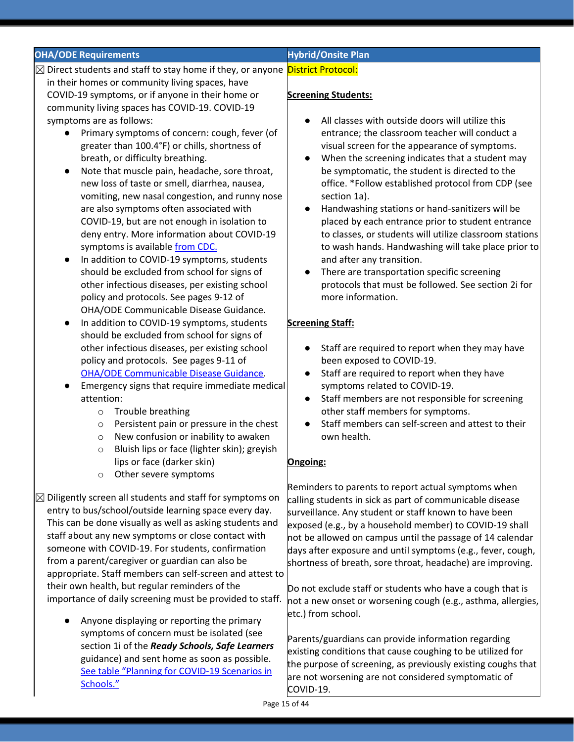| <b>OHA/ODE Requirements</b>                                                                 | <b>Hybrid/Onsite Plan</b>                                                              |
|---------------------------------------------------------------------------------------------|----------------------------------------------------------------------------------------|
| ⊠ Direct students and staff to stay home if they, or anyone District Protocol:              |                                                                                        |
| in their homes or community living spaces, have                                             |                                                                                        |
| COVID-19 symptoms, or if anyone in their home or                                            | <b>Screening Students:</b>                                                             |
| community living spaces has COVID-19. COVID-19                                              |                                                                                        |
| symptoms are as follows:                                                                    | All classes with outside doors will utilize this                                       |
| Primary symptoms of concern: cough, fever (of                                               | entrance; the classroom teacher will conduct a                                         |
| greater than 100.4°F) or chills, shortness of                                               | visual screen for the appearance of symptoms.                                          |
| breath, or difficulty breathing.                                                            | When the screening indicates that a student may<br>$\bullet$                           |
| Note that muscle pain, headache, sore throat,<br>$\bullet$                                  | be symptomatic, the student is directed to the                                         |
| new loss of taste or smell, diarrhea, nausea,                                               | office. *Follow established protocol from CDP (see                                     |
| vomiting, new nasal congestion, and runny nose                                              | section 1a).                                                                           |
| are also symptoms often associated with                                                     | Handwashing stations or hand-sanitizers will be<br>$\bullet$                           |
| COVID-19, but are not enough in isolation to                                                | placed by each entrance prior to student entrance                                      |
| deny entry. More information about COVID-19                                                 | to classes, or students will utilize classroom stations                                |
| symptoms is available from CDC.                                                             | to wash hands. Handwashing will take place prior to                                    |
| In addition to COVID-19 symptoms, students<br>$\bullet$                                     | and after any transition.                                                              |
| should be excluded from school for signs of                                                 | There are transportation specific screening<br>$\bullet$                               |
| other infectious diseases, per existing school                                              | protocols that must be followed. See section 2i for                                    |
| policy and protocols. See pages 9-12 of                                                     | more information.                                                                      |
| OHA/ODE Communicable Disease Guidance.                                                      |                                                                                        |
| In addition to COVID-19 symptoms, students<br>$\bullet$                                     | <b>Screening Staff:</b>                                                                |
| should be excluded from school for signs of                                                 |                                                                                        |
| other infectious diseases, per existing school                                              | Staff are required to report when they may have<br>$\bullet$                           |
| policy and protocols. See pages 9-11 of                                                     | been exposed to COVID-19.                                                              |
| <b>OHA/ODE Communicable Disease Guidance.</b>                                               | Staff are required to report when they have<br>$\bullet$                               |
| Emergency signs that require immediate medical<br>$\bullet$                                 | symptoms related to COVID-19.                                                          |
| attention:                                                                                  | Staff members are not responsible for screening<br>$\bullet$                           |
| Trouble breathing<br>$\circ$                                                                | other staff members for symptoms.<br>Staff members can self-screen and attest to their |
| Persistent pain or pressure in the chest<br>$\circ$<br>New confusion or inability to awaken | own health.                                                                            |
| $\circ$<br>Bluish lips or face (lighter skin); greyish                                      |                                                                                        |
| $\circ$<br>lips or face (darker skin)                                                       | Ongoing:                                                                               |
| Other severe symptoms                                                                       |                                                                                        |
| O                                                                                           | Reminders to parents to report actual symptoms when                                    |
| $\boxtimes$ Diligently screen all students and staff for symptoms on                        | calling students in sick as part of communicable disease                               |
| entry to bus/school/outside learning space every day.                                       | surveillance. Any student or staff known to have been                                  |
| This can be done visually as well as asking students and                                    | exposed (e.g., by a household member) to COVID-19 shall                                |
| staff about any new symptoms or close contact with                                          | not be allowed on campus until the passage of 14 calendar                              |
| someone with COVID-19. For students, confirmation                                           | days after exposure and until symptoms (e.g., fever, cough,                            |
| from a parent/caregiver or guardian can also be                                             | shortness of breath, sore throat, headache) are improving.                             |
| appropriate. Staff members can self-screen and attest to                                    |                                                                                        |
| their own health, but regular reminders of the                                              | Do not exclude staff or students who have a cough that is                              |
| importance of daily screening must be provided to staff.                                    | not a new onset or worsening cough (e.g., asthma, allergies,                           |
|                                                                                             | etc.) from school.                                                                     |
| Anyone displaying or reporting the primary                                                  |                                                                                        |
| symptoms of concern must be isolated (see                                                   | Parents/guardians can provide information regarding                                    |
| section 1i of the Ready Schools, Safe Learners                                              | existing conditions that cause coughing to be utilized for                             |
| guidance) and sent home as soon as possible.                                                | the purpose of screening, as previously existing coughs that                           |
| See table "Planning for COVID-19 Scenarios in                                               | are not worsening are not considered symptomatic of                                    |
| Schools."                                                                                   | OMID 10                                                                                |

COVID-19.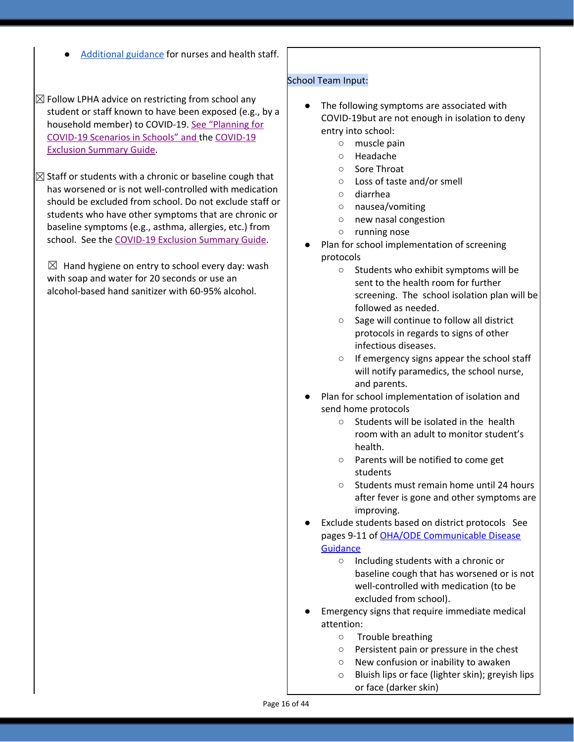- [Additional](https://www.oregon.gov/ode/students-and-family/healthsafety/Documents/Additional%20Considerations%20for%20Staff%20Working%20with%20Students%20with%20Complex%20Needs.pdf) guidance for nurses and health staff.
- $\boxtimes$  Follow LPHA advice on restricting from school any student or staff known to have been exposed (e.g., by a household member) to COVID-19. See ["Planning](https://www.oregon.gov/ode/students-and-family/healthsafety/Documents/Planning%20and%20Responding%20to%20COVID-19%20Scenarios%20in%20Schools.pdf) for [COVID-19](https://www.oregon.gov/ode/students-and-family/healthsafety/Documents/Planning%20and%20Responding%20to%20COVID-19%20Scenarios%20in%20Schools.pdf) Scenarios in Schools" and th[e](https://www.oregon.gov/ode/students-and-family/healthsafety/Documents/COVID-19%20Exclusion%20Summary%20Chart.pdf) [COVID-19](https://www.oregon.gov/ode/students-and-family/healthsafety/Documents/COVID-19%20Exclusion%20Summary%20Chart.pdf) Exclusion [Summary](https://www.oregon.gov/ode/students-and-family/healthsafety/Documents/COVID-19%20Exclusion%20Summary%20Chart.pdf) Guide.
- $\boxtimes$  Staff or students with a chronic or baseline cough that has worsened or is not well-controlled with medication should be excluded from school. Do not exclude staff or students who have other symptoms that are chronic or baseline symptoms (e.g., asthma, allergies, etc.) from school. See the [COVID-19](https://www.oregon.gov/ode/students-and-family/healthsafety/Documents/COVID-19%20Exclusion%20Summary%20Chart.pdf) Exclusion Summary Guide.

 $\boxtimes$  Hand hygiene on entry to school every day: wash with soap and water for 20 seconds or use an alcohol-based hand sanitizer with 60-95% alcohol.

#### School Team Input:

- The following symptoms are associated with COVID-19but are not enough in isolation to deny entry into school:
	- muscle pain
	- Headache
	- Sore Throat
	- Loss of taste and/or smell
	- diarrhea
	- nausea/vomiting
	- new nasal congestion
	- running nose
- Plan for school implementation of screening protocols
	- Students who exhibit symptoms will be sent to the health room for further screening. The school isolation plan will be followed as needed.
	- Sage will continue to follow all district protocols in regards to signs of other infectious diseases.
	- If emergency signs appear the school staff will notify paramedics, the school nurse, and parents.
- Plan for school implementation of isolation and send home protocols
	- Students will be isolated in the health room with an adult to monitor student's health.
	- Parents will be notified to come get students
	- Students must remain home until 24 hours after fever is gone and other symptoms are improving.
- Exclude students based on district protocols See pages 9-11 of OHA/ODE [Communicable](https://www.oregon.gov/ode/students-and-family/healthsafety/Documents/commdisease.pdf) Disease **[Guidance](https://www.oregon.gov/ode/students-and-family/healthsafety/Documents/commdisease.pdf)** 
	- Including students with a chronic or baseline cough that has worsened or is not well-controlled with medication (to be excluded from school).
- Emergency signs that require immediate medical attention:
	- Trouble breathing
	- Persistent pain or pressure in the chest
	- New confusion or inability to awaken
	- o Bluish lips or face (lighter skin); greyish lips or face (darker skin)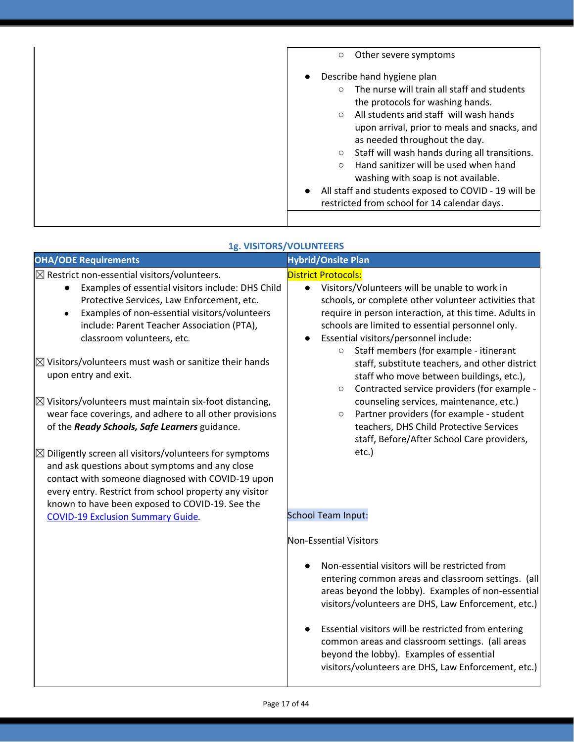| Other severe symptoms<br>O                                                                                                                                                                                                                                                                                                                                                                                                                                                                                                                        |
|---------------------------------------------------------------------------------------------------------------------------------------------------------------------------------------------------------------------------------------------------------------------------------------------------------------------------------------------------------------------------------------------------------------------------------------------------------------------------------------------------------------------------------------------------|
| Describe hand hygiene plan<br>The nurse will train all staff and students<br>$\bigcirc$<br>the protocols for washing hands.<br>All students and staff will wash hands<br>$\Omega$<br>upon arrival, prior to meals and snacks, and<br>as needed throughout the day.<br>Staff will wash hands during all transitions.<br>$\circ$<br>Hand sanitizer will be used when hand<br>$\bigcirc$<br>washing with soap is not available.<br>All staff and students exposed to COVID - 19 will be<br>$\bullet$<br>restricted from school for 14 calendar days. |

| 1g. VISITORS/VOLUNTEERS |  |
|-------------------------|--|
|                         |  |

| <b>OHA/ODE Requirements</b>                                                                                                                                                                                                                                                                                                                                                                                                                                                                                          | <b>Hybrid/Onsite Plan</b>                                                                                                                                                                                                                                                                                                                                    |
|----------------------------------------------------------------------------------------------------------------------------------------------------------------------------------------------------------------------------------------------------------------------------------------------------------------------------------------------------------------------------------------------------------------------------------------------------------------------------------------------------------------------|--------------------------------------------------------------------------------------------------------------------------------------------------------------------------------------------------------------------------------------------------------------------------------------------------------------------------------------------------------------|
| $\boxtimes$ Restrict non-essential visitors/volunteers.<br>Examples of essential visitors include: DHS Child<br>$\bullet$<br>Protective Services, Law Enforcement, etc.<br>Examples of non-essential visitors/volunteers<br>include: Parent Teacher Association (PTA),<br>classroom volunteers, etc.                                                                                                                                                                                                                 | <b>District Protocols:</b><br>Visitors/Volunteers will be unable to work in<br>$\bullet$<br>schools, or complete other volunteer activities that<br>require in person interaction, at this time. Adults in<br>schools are limited to essential personnel only.<br>Essential visitors/personnel include:<br>Staff members (for example - itinerant<br>$\circ$ |
| $\boxtimes$ Visitors/volunteers must wash or sanitize their hands<br>upon entry and exit.                                                                                                                                                                                                                                                                                                                                                                                                                            | staff, substitute teachers, and other district<br>staff who move between buildings, etc.),<br>Contracted service providers (for example -<br>$\circ$                                                                                                                                                                                                         |
| $\boxtimes$ Visitors/volunteers must maintain six-foot distancing,<br>wear face coverings, and adhere to all other provisions<br>of the Ready Schools, Safe Learners guidance.<br>$\boxtimes$ Diligently screen all visitors/volunteers for symptoms<br>and ask questions about symptoms and any close<br>contact with someone diagnosed with COVID-19 upon<br>every entry. Restrict from school property any visitor<br>known to have been exposed to COVID-19. See the<br><b>COVID-19 Exclusion Summary Guide.</b> | counseling services, maintenance, etc.)<br>Partner providers (for example - student<br>$\circ$<br>teachers, DHS Child Protective Services<br>staff, Before/After School Care providers,<br>etc.)<br><b>School Team Input:</b>                                                                                                                                |
|                                                                                                                                                                                                                                                                                                                                                                                                                                                                                                                      | Non-Essential Visitors                                                                                                                                                                                                                                                                                                                                       |
|                                                                                                                                                                                                                                                                                                                                                                                                                                                                                                                      | Non-essential visitors will be restricted from<br>entering common areas and classroom settings. (all<br>areas beyond the lobby). Examples of non-essential<br>visitors/volunteers are DHS, Law Enforcement, etc.)                                                                                                                                            |
|                                                                                                                                                                                                                                                                                                                                                                                                                                                                                                                      | Essential visitors will be restricted from entering<br>common areas and classroom settings. (all areas<br>beyond the lobby). Examples of essential<br>visitors/volunteers are DHS, Law Enforcement, etc.)                                                                                                                                                    |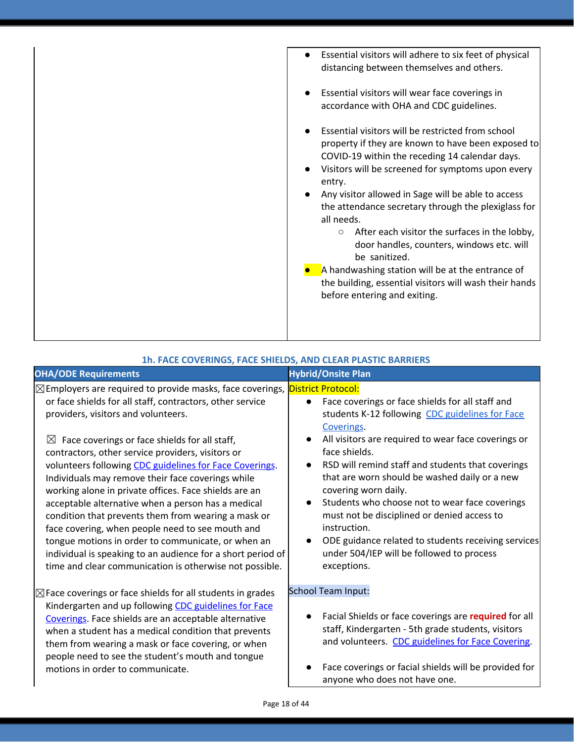| Essential visitors will adhere to six feet of physical<br>$\bullet$<br>distancing between themselves and others.                                                                                                                                                                                                                                                                                                                                                                                                                                                                                                            |
|-----------------------------------------------------------------------------------------------------------------------------------------------------------------------------------------------------------------------------------------------------------------------------------------------------------------------------------------------------------------------------------------------------------------------------------------------------------------------------------------------------------------------------------------------------------------------------------------------------------------------------|
| Essential visitors will wear face coverings in<br>accordance with OHA and CDC guidelines.                                                                                                                                                                                                                                                                                                                                                                                                                                                                                                                                   |
| Essential visitors will be restricted from school<br>property if they are known to have been exposed to<br>COVID-19 within the receding 14 calendar days.<br>Visitors will be screened for symptoms upon every<br>entry.<br>Any visitor allowed in Sage will be able to access<br>the attendance secretary through the plexiglass for<br>all needs.<br>After each visitor the surfaces in the lobby,<br>$\circ$<br>door handles, counters, windows etc. will<br>be sanitized.<br>A handwashing station will be at the entrance of<br>the building, essential visitors will wash their hands<br>before entering and exiting. |
|                                                                                                                                                                                                                                                                                                                                                                                                                                                                                                                                                                                                                             |

| 1h. FACE COVERINGS, FACE SHIELDS, AND CLEAR PLASTIC BARRIERS                                                                                                                                                                                                                                                                                                                                                                                                                                                                                                                                                                                                                                                                                                                                                  |                                                                                                                                                                                                                                                                                                                                                                                                                                                                                                                                                                                                                                              |  |
|---------------------------------------------------------------------------------------------------------------------------------------------------------------------------------------------------------------------------------------------------------------------------------------------------------------------------------------------------------------------------------------------------------------------------------------------------------------------------------------------------------------------------------------------------------------------------------------------------------------------------------------------------------------------------------------------------------------------------------------------------------------------------------------------------------------|----------------------------------------------------------------------------------------------------------------------------------------------------------------------------------------------------------------------------------------------------------------------------------------------------------------------------------------------------------------------------------------------------------------------------------------------------------------------------------------------------------------------------------------------------------------------------------------------------------------------------------------------|--|
| <b>OHA/ODE Requirements</b>                                                                                                                                                                                                                                                                                                                                                                                                                                                                                                                                                                                                                                                                                                                                                                                   | <b>Hybrid/Onsite Plan</b>                                                                                                                                                                                                                                                                                                                                                                                                                                                                                                                                                                                                                    |  |
| $\boxtimes$ Employers are required to provide masks, face coverings,<br>or face shields for all staff, contractors, other service<br>providers, visitors and volunteers.<br>⊠<br>Face coverings or face shields for all staff,<br>contractors, other service providers, visitors or<br>volunteers following CDC guidelines for Face Coverings.<br>Individuals may remove their face coverings while<br>working alone in private offices. Face shields are an<br>acceptable alternative when a person has a medical<br>condition that prevents them from wearing a mask or<br>face covering, when people need to see mouth and<br>tongue motions in order to communicate, or when an<br>individual is speaking to an audience for a short period of<br>time and clear communication is otherwise not possible. | <b>District Protocol:</b><br>Face coverings or face shields for all staff and<br>$\bullet$<br>students K-12 following CDC guidelines for Face<br>Coverings.<br>All visitors are required to wear face coverings or<br>face shields.<br>RSD will remind staff and students that coverings<br>$\bullet$<br>that are worn should be washed daily or a new<br>covering worn daily.<br>Students who choose not to wear face coverings<br>$\bullet$<br>must not be disciplined or denied access to<br>instruction.<br>ODE guidance related to students receiving services<br>$\bullet$<br>under 504/IEP will be followed to process<br>exceptions. |  |
| $\boxtimes$ Face coverings or face shields for all students in grades<br>Kindergarten and up following CDC guidelines for Face<br>Coverings. Face shields are an acceptable alternative<br>when a student has a medical condition that prevents<br>them from wearing a mask or face covering, or when<br>people need to see the student's mouth and tongue<br>motions in order to communicate.                                                                                                                                                                                                                                                                                                                                                                                                                | <b>School Team Input:</b><br>Facial Shields or face coverings are required for all<br>staff, Kindergarten - 5th grade students, visitors<br>and volunteers. CDC guidelines for Face Covering.<br>Face coverings or facial shields will be provided for<br>anyone who does not have one.                                                                                                                                                                                                                                                                                                                                                      |  |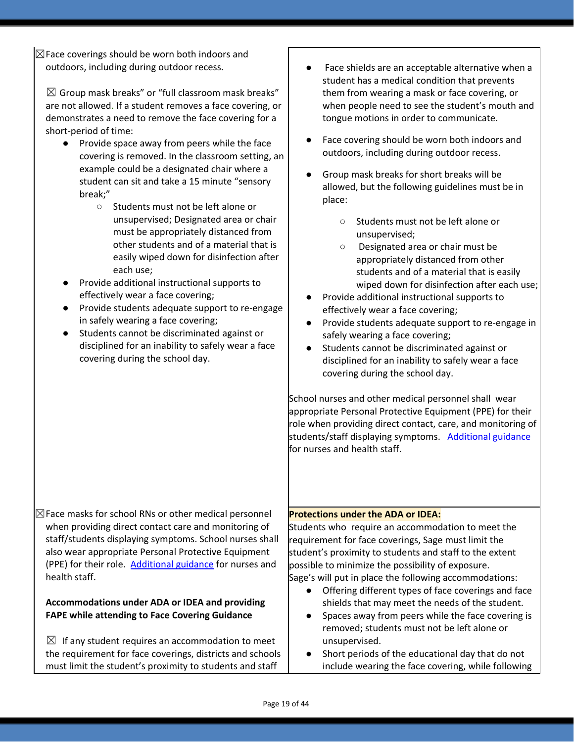$\boxtimes$  Face coverings should be worn both indoors and outdoors, including during outdoor recess.

 $\boxtimes$  Group mask breaks" or "full classroom mask breaks" are not allowed. If a student removes a face covering, or demonstrates a need to remove the face covering for a short-period of time:

- Provide space away from peers while the face covering is removed. In the classroom setting, an example could be a designated chair where a student can sit and take a 15 minute "sensory break;"
	- Students must not be left alone or unsupervised; Designated area or chair must be appropriately distanced from other students and of a material that is easily wiped down for disinfection after each use;
- Provide additional instructional supports to effectively wear a face covering;
- Provide students adequate support to re-engage in safely wearing a face covering;
- Students cannot be discriminated against or disciplined for an inability to safely wear a face covering during the school day.

 $\boxtimes$  Face masks for school RNs or other medical personnel when providing direct contact care and monitoring of staff/students displaying symptoms. School nurses shall also wear appropriate Personal Protective Equipment (PPE) for their role. [Additional](https://www.oregon.gov/ode/students-and-family/healthsafety/Documents/Additional%20Considerations%20for%20Staff%20Working%20with%20Students%20with%20Complex%20Needs.pdf) guidance for nurses and health staff.

#### **Accommodations under ADA or IDEA and providing FAPE while attending to Face Covering Guidance**

 $\boxtimes$  If any student requires an accommodation to meet the requirement for face coverings, districts and schools must limit the student's proximity to students and staff

- Face shields are an acceptable alternative when a student has a medical condition that prevents them from wearing a mask or face covering, or when people need to see the student's mouth and tongue motions in order to communicate.
- Face covering should be worn both indoors and outdoors, including during outdoor recess.
- Group mask breaks for short breaks will be allowed, but the following guidelines must be in place:
	- Students must not be left alone or unsupervised;
	- Designated area or chair must be appropriately distanced from other students and of a material that is easily wiped down for disinfection after each use;
- Provide additional instructional supports to effectively wear a face covering;
- Provide students adequate support to re-engage in safely wearing a face covering;
- Students cannot be discriminated against or disciplined for an inability to safely wear a face covering during the school day.

School nurses and other medical personnel shall wear appropriate Personal Protective Equipment (PPE) for their role when providing direct contact, care, and monitoring of students/staff displaying symptoms. [Additional](https://www.oregon.gov/ode/students-and-family/healthsafety/Documents/Additional%20Considerations%20for%20Staff%20Working%20with%20Students%20with%20Complex%20Needs.pdf) guidance for nurses and health staff.

### **Protections under the ADA or IDEA:**

Students who require an accommodation to meet the requirement for face coverings, Sage must limit the student's proximity to students and staff to the extent possible to minimize the possibility of exposure. Sage's will put in place the following accommodations:

- Offering different types of face coverings and face shields that may meet the needs of the student.
- Spaces away from peers while the face covering is removed; students must not be left alone or unsupervised.
- Short periods of the educational day that do not include wearing the face covering, while following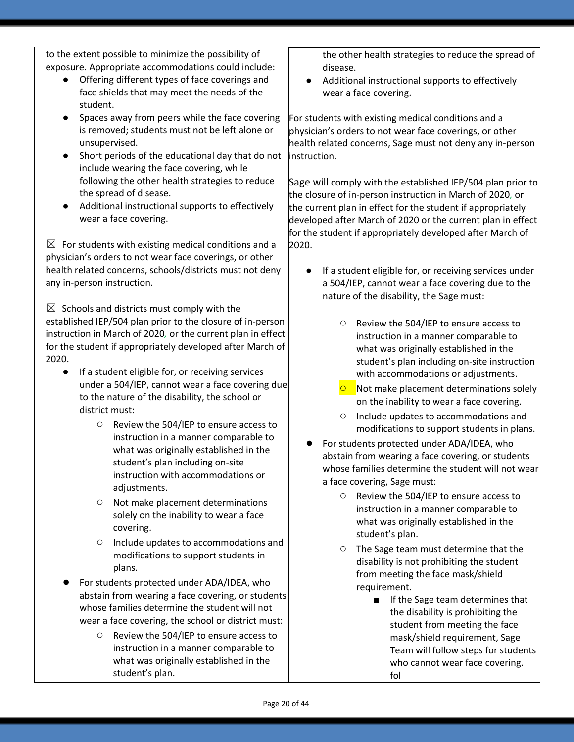to the extent possible to minimize the possibility of exposure. Appropriate accommodations could include:

- Offering different types of face coverings and face shields that may meet the needs of the student.
- Spaces away from peers while the face covering is removed; students must not be left alone or unsupervised.
- Short periods of the educational day that do not include wearing the face covering, while following the other health strategies to reduce the spread of disease.
- Additional instructional supports to effectively wear a face covering.

 $\boxtimes$  For students with existing medical conditions and a physician's orders to not wear face coverings, or other health related concerns, schools/districts must not deny any in-person instruction.

 $\boxtimes$  Schools and districts must comply with the established IEP/504 plan prior to the closure of in-person instruction in March of 2020*,* or the current plan in effect for the student if appropriately developed after March of 2020.

- If a student eligible for, or receiving services under a 504/IEP, cannot wear a face covering due to the nature of the disability, the school or district must:
	- Review the 504/IEP to ensure access to instruction in a manner comparable to what was originally established in the student's plan including on-site instruction with accommodations or adjustments.
	- Not make placement determinations solely on the inability to wear a face covering.
	- Include updates to accommodations and modifications to support students in plans.
- For students protected under ADA/IDEA, who abstain from wearing a face covering, or students whose families determine the student will not wear a face covering, the school or district must:
	- Review the 504/IEP to ensure access to instruction in a manner comparable to what was originally established in the student's plan.

the other health strategies to reduce the spread of disease.

Additional instructional supports to effectively wear a face covering.

For students with existing medical conditions and a physician's orders to not wear face coverings, or other health related concerns, Sage must not deny any in-person instruction.

Sage will comply with the established IEP/504 plan prior to the closure of in-person instruction in March of 2020*,* or the current plan in effect for the student if appropriately developed after March of 2020 or the current plan in effect for the student if appropriately developed after March of 2020.

- If a student eligible for, or receiving services under a 504/IEP, cannot wear a face covering due to the nature of the disability, the Sage must:
	- Review the 504/IEP to ensure access to instruction in a manner comparable to what was originally established in the student's plan including on-site instruction with accommodations or adjustments.
	- **○** Not make placement determinations solely on the inability to wear a face covering.
	- Include updates to accommodations and modifications to support students in plans.
- For students protected under ADA/IDEA, who abstain from wearing a face covering, or students whose families determine the student will not wear a face covering, Sage must:
	- Review the 504/IEP to ensure access to instruction in a manner comparable to what was originally established in the student's plan.
	- The Sage team must determine that the disability is not prohibiting the student from meeting the face mask/shield requirement.
		- If the Sage team determines that the disability is prohibiting the student from meeting the face mask/shield requirement, Sage Team will follow steps for students who cannot wear face covering. fol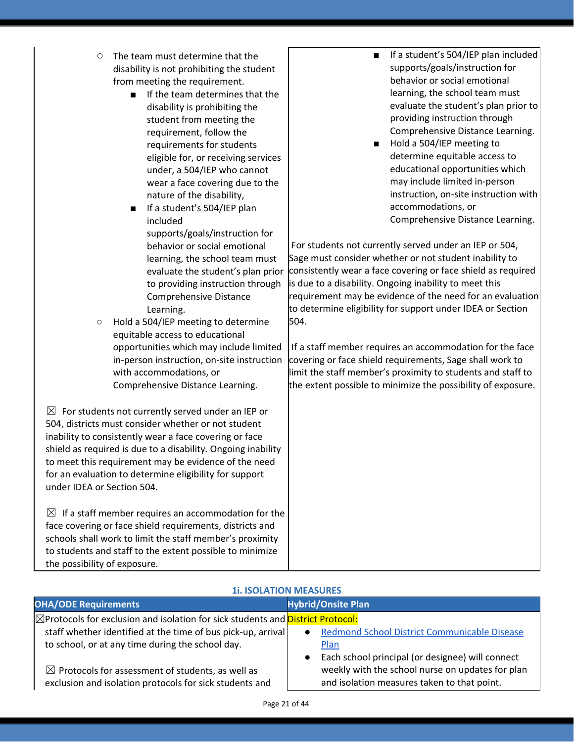| O | The team must determine that the          |
|---|-------------------------------------------|
|   | disability is not prohibiting the student |
|   | from meeting the requirement.             |

- If the team determines that the disability is prohibiting the student from meeting the requirement, follow the requirements for students eligible for, or receiving services under, a 504/IEP who cannot wear a face covering due to the nature of the disability,
- If a student's 504/IEP plan included supports/goals/instruction for behavior or social emotional learning, the school team must evaluate the student's plan prior to providing instruction through Comprehensive Distance Learning.

○ Hold a 504/IEP meeting to determine equitable access to educational opportunities which may include limited in-person instruction, on-site instruction with accommodations, or Comprehensive Distance Learning.

 $\boxtimes$  For students not currently served under an IEP or 504, districts must consider whether or not student inability to consistently wear a face covering or face shield as required is due to a disability. Ongoing inability to meet this requirement may be evidence of the need for an evaluation to determine eligibility for support under IDEA or Section 504.

 $\boxtimes$  If a staff member requires an accommodation for the face covering or face shield requirements, districts and schools shall work to limit the staff member's proximity to students and staff to the extent possible to minimize the possibility of exposure.

- **■** If a student's 504/IEP plan included supports/goals/instruction for behavior or social emotional learning, the school team must evaluate the student's plan prior to providing instruction through Comprehensive Distance Learning.
- Hold a 504/IEP meeting to determine equitable access to educational opportunities which may include limited in-person instruction, on-site instruction with accommodations, or Comprehensive Distance Learning.

For students not currently served under an IEP or 504, Sage must consider whether or not student inability to consistently wear a face covering or face shield as required is due to a disability. Ongoing inability to meet this requirement may be evidence of the need for an evaluation to determine eligibility for support under IDEA or Section 504.

If a staff member requires an accommodation for the face covering or face shield requirements, Sage shall work to limit the staff member's proximity to students and staff to the extent possible to minimize the possibility of exposure.

| <b>11. ISOLATION MEASURES</b>                                                          |                                                               |  |
|----------------------------------------------------------------------------------------|---------------------------------------------------------------|--|
| <b>OHA/ODE Requirements</b>                                                            | <b>Hybrid/Onsite Plan</b>                                     |  |
| <b>⊠Protocols for exclusion and isolation for sick students and District Protocol:</b> |                                                               |  |
| staff whether identified at the time of bus pick-up, arrival                           | Redmond School District Communicable Disease<br>$\bullet$     |  |
| to school, or at any time during the school day.                                       | Plan                                                          |  |
|                                                                                        | Each school principal (or designee) will connect<br>$\bullet$ |  |
| $\boxtimes$ Protocols for assessment of students, as well as                           | weekly with the school nurse on updates for plan              |  |
| exclusion and isolation protocols for sick students and                                | and isolation measures taken to that point.                   |  |

### **1i. ISOLATION MEASURES**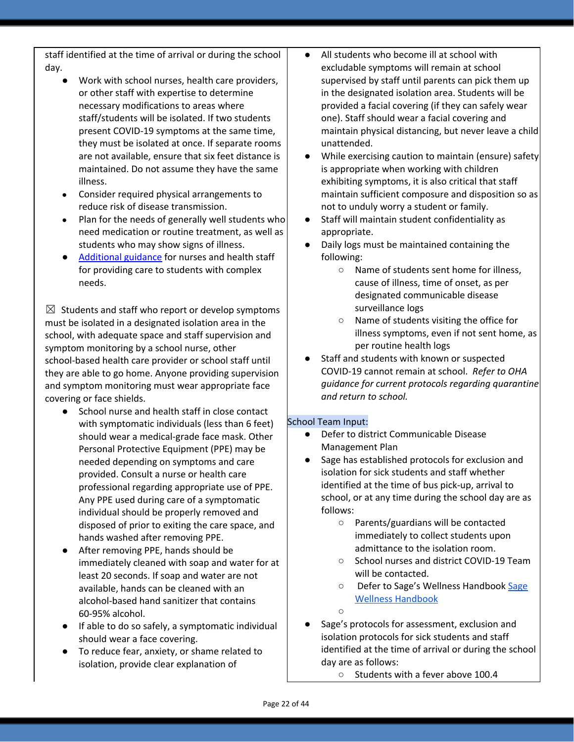staff identified at the time of arrival or during the school day.

- Work with school nurses, health care providers, or other staff with expertise to determine necessary modifications to areas where staff/students will be isolated. If two students present COVID-19 symptoms at the same time, they must be isolated at once. If separate rooms are not available, ensure that six feet distance is maintained. Do not assume they have the same illness.
- Consider required physical arrangements to reduce risk of disease transmission.
- Plan for the needs of generally well students who need medication or routine treatment, as well as students who may show signs of illness.
- [Additional](https://www.oregon.gov/ode/students-and-family/healthsafety/Documents/Additional%20Considerations%20for%20Staff%20Working%20with%20Students%20with%20Complex%20Needs.pdf) guidance for nurses and health staff for providing care to students with complex needs.

 $\boxtimes$  Students and staff who report or develop symptoms must be isolated in a designated isolation area in the school, with adequate space and staff supervision and symptom monitoring by a school nurse, other school-based health care provider or school staff until they are able to go home. Anyone providing supervision and symptom monitoring must wear appropriate face covering or face shields.

- School nurse and health staff in close contact with symptomatic individuals (less than 6 feet) should wear a medical-grade face mask. Other Personal Protective Equipment (PPE) may be needed depending on symptoms and care provided. Consult a nurse or health care professional regarding appropriate use of PPE. Any PPE used during care of a symptomatic individual should be properly removed and disposed of prior to exiting the care space, and hands washed after removing PPE.
- After removing PPE, hands should be immediately cleaned with soap and water for at least 20 seconds. If soap and water are not available, hands can be cleaned with an alcohol-based hand sanitizer that contains 60-95% alcohol.
- If able to do so safely, a symptomatic individual should wear a face covering.
- To reduce fear, anxiety, or shame related to isolation, provide clear explanation of
- All students who become ill at school with excludable symptoms will remain at school supervised by staff until parents can pick them up in the designated isolation area. Students will be provided a facial covering (if they can safely wear one). Staff should wear a facial covering and maintain physical distancing, but never leave a child unattended.
- While exercising caution to maintain (ensure) safety is appropriate when working with children exhibiting symptoms, it is also critical that staff maintain sufficient composure and disposition so as not to unduly worry a student or family.
- Staff will maintain student confidentiality as appropriate.
- Daily logs must be maintained containing the following:
	- Name of students sent home for illness, cause of illness, time of onset, as per designated communicable disease surveillance logs
	- Name of students visiting the office for illness symptoms, even if not sent home, as per routine health logs
- Staff and students with known or suspected COVID-19 cannot remain at school. *Refer to OHA guidance for current protocols regarding quarantine and return to school.*

### School Team Input:

- Defer to district Communicable Disease Management Plan
- Sage has established protocols for exclusion and isolation for sick students and staff whether identified at the time of bus pick-up, arrival to school, or at any time during the school day are as follows:
	- Parents/guardians will be contacted immediately to collect students upon admittance to the isolation room.
	- School nurses and district COVID-19 Team will be contacted.
	- Defer to [Sage](https://docs.google.com/document/d/1lhwXK1hIztIyNWqS_PfN89ixSP0VKgKAGoAuOLYXzpc/edit?usp=sharing)'s Wellness Handbook Sage Wellness [Handbook](https://docs.google.com/document/d/1lhwXK1hIztIyNWqS_PfN89ixSP0VKgKAGoAuOLYXzpc/edit?usp=sharing)
	- ○
- Sage's protocols for assessment, exclusion and isolation protocols for sick students and staff identified at the time of arrival or during the school day are as follows:
	- Students with a fever above 100.4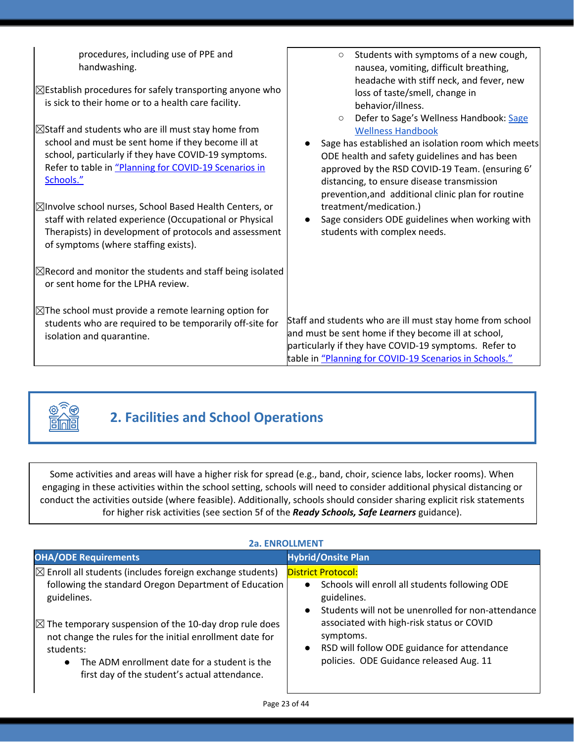| procedures, including use of PPE and<br>handwashing.<br>$\boxtimes$ Establish procedures for safely transporting anyone who<br>is sick to their home or to a health care facility.<br>$\boxtimes$ Staff and students who are ill must stay home from<br>school and must be sent home if they become ill at<br>school, particularly if they have COVID-19 symptoms.<br>Refer to table in "Planning for COVID-19 Scenarios in<br>Schools."<br>⊠Involve school nurses, School Based Health Centers, or<br>staff with related experience (Occupational or Physical<br>Therapists) in development of protocols and assessment<br>of symptoms (where staffing exists).<br>$\boxtimes$ Record and monitor the students and staff being isolated | Students with symptoms of a new cough,<br>$\circ$<br>nausea, vomiting, difficult breathing,<br>headache with stiff neck, and fever, new<br>loss of taste/smell, change in<br>behavior/illness.<br>Defer to Sage's Wellness Handbook: Sage<br>$\circ$<br><b>Wellness Handbook</b><br>Sage has established an isolation room which meets<br>ODE health and safety guidelines and has been<br>approved by the RSD COVID-19 Team. (ensuring 6'<br>distancing, to ensure disease transmission<br>prevention, and additional clinic plan for routine<br>treatment/medication.)<br>Sage considers ODE guidelines when working with<br>students with complex needs. |
|------------------------------------------------------------------------------------------------------------------------------------------------------------------------------------------------------------------------------------------------------------------------------------------------------------------------------------------------------------------------------------------------------------------------------------------------------------------------------------------------------------------------------------------------------------------------------------------------------------------------------------------------------------------------------------------------------------------------------------------|-------------------------------------------------------------------------------------------------------------------------------------------------------------------------------------------------------------------------------------------------------------------------------------------------------------------------------------------------------------------------------------------------------------------------------------------------------------------------------------------------------------------------------------------------------------------------------------------------------------------------------------------------------------|
| or sent home for the LPHA review.                                                                                                                                                                                                                                                                                                                                                                                                                                                                                                                                                                                                                                                                                                        |                                                                                                                                                                                                                                                                                                                                                                                                                                                                                                                                                                                                                                                             |
| $\boxtimes$ The school must provide a remote learning option for<br>students who are required to be temporarily off-site for<br>isolation and quarantine.                                                                                                                                                                                                                                                                                                                                                                                                                                                                                                                                                                                | Staff and students who are ill must stay home from school<br>and must be sent home if they become ill at school,<br>particularly if they have COVID-19 symptoms. Refer to<br>table in "Planning for COVID-19 Scenarios in Schools."                                                                                                                                                                                                                                                                                                                                                                                                                         |



# **2. Facilities and School Operations**

Some activities and areas will have a higher risk for spread (e.g., band, choir, science labs, locker rooms). When engaging in these activities within the school setting, schools will need to consider additional physical distancing or conduct the activities outside (where feasible). Additionally, schools should consider sharing explicit risk statements for higher risk activities (see section 5f of the *Ready Schools, Safe Learners* guidance).

| <b>2a. ENROLLMENT</b>                                                                                                                                                                                                                                                                                                                                                                       |                                                                                                                                                                                                                                                                                                                                             |  |
|---------------------------------------------------------------------------------------------------------------------------------------------------------------------------------------------------------------------------------------------------------------------------------------------------------------------------------------------------------------------------------------------|---------------------------------------------------------------------------------------------------------------------------------------------------------------------------------------------------------------------------------------------------------------------------------------------------------------------------------------------|--|
| <b>OHA/ODE Requirements</b>                                                                                                                                                                                                                                                                                                                                                                 | <b>Hybrid/Onsite Plan</b>                                                                                                                                                                                                                                                                                                                   |  |
| $\boxtimes$ Enroll all students (includes foreign exchange students)<br>following the standard Oregon Department of Education<br>guidelines.<br>$\boxtimes$ The temporary suspension of the 10-day drop rule does<br>not change the rules for the initial enrollment date for<br>students:<br>The ADM enrollment date for a student is the<br>first day of the student's actual attendance. | <b>District Protocol:</b><br>Schools will enroll all students following ODE<br>$\bullet$<br>guidelines.<br>Students will not be unenrolled for non-attendance<br>$\bullet$<br>associated with high-risk status or COVID<br>symptoms.<br>RSD will follow ODE guidance for attendance<br>$\bullet$<br>policies. ODE Guidance released Aug. 11 |  |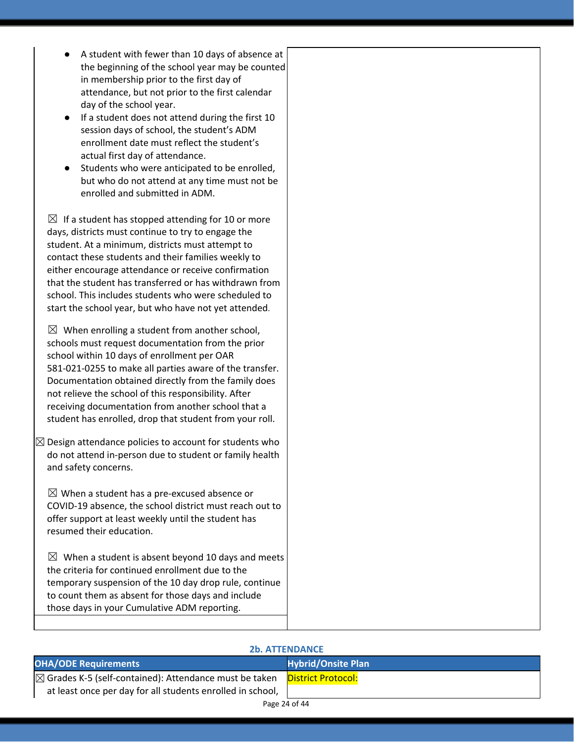- A student with fewer than 10 days of absence at the beginning of the school year may be counted in membership prior to the first day of attendance, but not prior to the first calendar day of the school year.
- If a student does not attend during the first 10 session days of school, the student's ADM enrollment date must reflect the student's actual first day of attendance.
- Students who were anticipated to be enrolled, but who do not attend at any time must not be enrolled and submitted in ADM.

 $\boxtimes$  If a student has stopped attending for 10 or more days, districts must continue to try to engage the student. At a minimum, districts must attempt to contact these students and their families weekly to either encourage attendance or receive confirmation that the student has transferred or has withdrawn from school. This includes students who were scheduled to start the school year, but who have not yet attended.

 $\boxtimes$  When enrolling a student from another school, schools must request documentation from the prior school within 10 days of enrollment per OAR 581-021-0255 to make all parties aware of the transfer. Documentation obtained directly from the family does not relieve the school of this responsibility. After receiving documentation from another school that a student has enrolled, drop that student from your roll.

 $\boxtimes$  Design attendance policies to account for students who do not attend in-person due to student or family health and safety concerns.

 $\boxtimes$  When a student has a pre-excused absence or COVID-19 absence, the school district must reach out to offer support at least weekly until the student has resumed their education.

 $\boxtimes$  When a student is absent beyond 10 days and meets the criteria for continued enrollment due to the temporary suspension of the 10 day drop rule, continue to count them as absent for those days and include those days in your Cumulative ADM reporting.

| <b>2b. ATTENDANCE</b>                                             |                           |  |
|-------------------------------------------------------------------|---------------------------|--|
| <b>OHA/ODE Requirements</b>                                       | <b>Hybrid/Onsite Plan</b> |  |
| $\boxtimes$ Grades K-5 (self-contained): Attendance must be taken | <b>District Protocol:</b> |  |
| at least once per day for all students enrolled in school,        |                           |  |

#### Page 24 of 44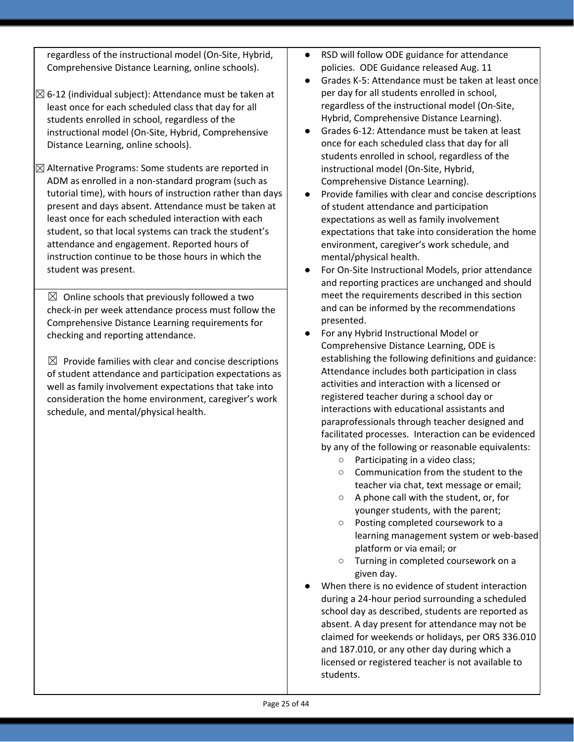regardless of the instructional model (On-Site, Hybrid, Comprehensive Distance Learning, online schools).

- $\boxtimes$  6-12 (individual subject): Attendance must be taken at least once for each scheduled class that day for all students enrolled in school, regardless of the instructional model (On-Site, Hybrid, Comprehensive Distance Learning, online schools).
- $\boxtimes$  Alternative Programs: Some students are reported in ADM as enrolled in a non-standard program (such as tutorial time), with hours of instruction rather than days present and days absent. Attendance must be taken at least once for each scheduled interaction with each student, so that local systems can track the student's attendance and engagement. Reported hours of instruction continue to be those hours in which the student was present.

 $\boxtimes$  Online schools that previously followed a two check-in per week attendance process must follow the Comprehensive Distance Learning requirements for checking and reporting attendance.

 $\boxtimes$  Provide families with clear and concise descriptions of student attendance and participation expectations as well as family involvement expectations that take into consideration the home environment, caregiver's work schedule, and mental/physical health.

- RSD will follow ODE guidance for attendance policies. ODE Guidance released Aug. 11
- Grades K-5: Attendance must be taken at least once per day for all students enrolled in school, regardless of the instructional model (On-Site, Hybrid, Comprehensive Distance Learning).
- Grades 6-12: Attendance must be taken at least once for each scheduled class that day for all students enrolled in school, regardless of the instructional model (On-Site, Hybrid, Comprehensive Distance Learning).
- Provide families with clear and concise descriptions of student attendance and participation expectations as well as family involvement expectations that take into consideration the home environment, caregiver's work schedule, and mental/physical health.
- For On-Site Instructional Models, prior attendance and reporting practices are unchanged and should meet the requirements described in this section and can be informed by the recommendations presented.
- For any Hybrid Instructional Model or Comprehensive Distance Learning, ODE is establishing the following definitions and guidance: Attendance includes both participation in class activities and interaction with a licensed or registered teacher during a school day or interactions with educational assistants and paraprofessionals through teacher designed and facilitated processes. Interaction can be evidenced by any of the following or reasonable equivalents:
	- Participating in a video class;
	- Communication from the student to the teacher via chat, text message or email;
	- A phone call with the student, or, for younger students, with the parent;
	- Posting completed coursework to a learning management system or web-based platform or via email; or
	- Turning in completed coursework on a given day.
- When there is no evidence of student interaction during a 24-hour period surrounding a scheduled school day as described, students are reported as absent. A day present for attendance may not be claimed for weekends or holidays, per ORS 336.010 and 187.010, or any other day during which a licensed or registered teacher is not available to students.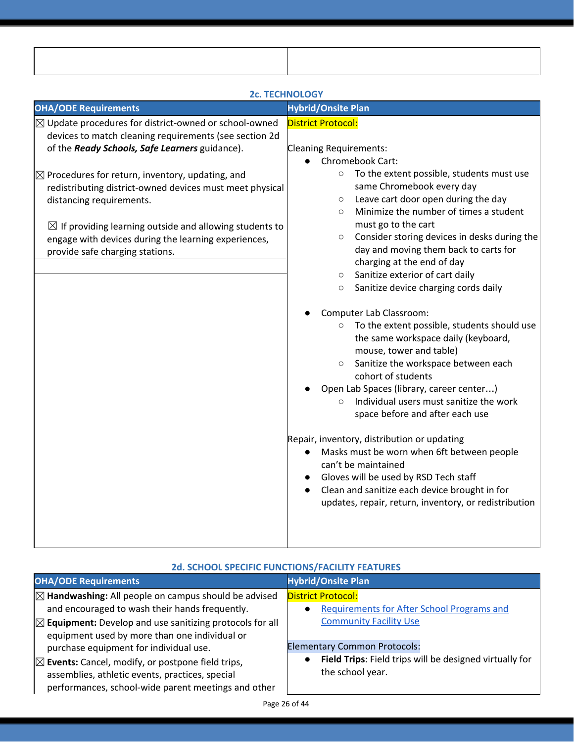|                                                                                                                                                                                                                                                                                                                                                                                                                                                                                                      | <b>2c. TECHNOLOGY</b>                                                                                                                                                                                                                                                                                                                                                                                                                                                                                                                                                                                                                                                                                                                                                                                                                                                                             |
|------------------------------------------------------------------------------------------------------------------------------------------------------------------------------------------------------------------------------------------------------------------------------------------------------------------------------------------------------------------------------------------------------------------------------------------------------------------------------------------------------|---------------------------------------------------------------------------------------------------------------------------------------------------------------------------------------------------------------------------------------------------------------------------------------------------------------------------------------------------------------------------------------------------------------------------------------------------------------------------------------------------------------------------------------------------------------------------------------------------------------------------------------------------------------------------------------------------------------------------------------------------------------------------------------------------------------------------------------------------------------------------------------------------|
| <b>OHA/ODE Requirements</b>                                                                                                                                                                                                                                                                                                                                                                                                                                                                          | <b>Hybrid/Onsite Plan</b>                                                                                                                                                                                                                                                                                                                                                                                                                                                                                                                                                                                                                                                                                                                                                                                                                                                                         |
| $\boxtimes$ Update procedures for district-owned or school-owned<br>devices to match cleaning requirements (see section 2d<br>of the Ready Schools, Safe Learners guidance).<br>$\boxtimes$ Procedures for return, inventory, updating, and<br>redistributing district-owned devices must meet physical<br>distancing requirements.<br>$\boxtimes$ If providing learning outside and allowing students to<br>engage with devices during the learning experiences,<br>provide safe charging stations. | <b>District Protocol:</b><br>Cleaning Requirements:<br>Chromebook Cart:<br>To the extent possible, students must use<br>$\circ$<br>same Chromebook every day<br>Leave cart door open during the day<br>$\circ$<br>Minimize the number of times a student<br>$\circ$<br>must go to the cart<br>Consider storing devices in desks during the<br>$\circ$<br>day and moving them back to carts for<br>charging at the end of day<br>Sanitize exterior of cart daily<br>$\circ$<br>Sanitize device charging cords daily<br>$\circ$<br>Computer Lab Classroom:<br>To the extent possible, students should use<br>$\circ$<br>the same workspace daily (keyboard,<br>mouse, tower and table)<br>Sanitize the workspace between each<br>$\circ$<br>cohort of students<br>Open Lab Spaces (library, career center)<br>Individual users must sanitize the work<br>$\circ$<br>space before and after each use |
|                                                                                                                                                                                                                                                                                                                                                                                                                                                                                                      | Repair, inventory, distribution or updating<br>Masks must be worn when 6ft between people<br>can't be maintained                                                                                                                                                                                                                                                                                                                                                                                                                                                                                                                                                                                                                                                                                                                                                                                  |

- Gloves will be used by RSD Tech staff
- Clean and sanitize each device brought in for updates, repair, return, inventory, or redistribution

| <b>2d. SCHOOL SPECIFIC FUNCTIONS/FACILITY FEATURES</b>                                                                                                                 |                                                                                |
|------------------------------------------------------------------------------------------------------------------------------------------------------------------------|--------------------------------------------------------------------------------|
| <b>OHA/ODE Requirements</b>                                                                                                                                            | <b>Hybrid/Onsite Plan</b>                                                      |
| $\boxtimes$ Handwashing: All people on campus should be advised<br>and encouraged to wash their hands frequently.                                                      | <b>District Protocol:</b><br><b>Requirements for After School Programs and</b> |
| $\boxtimes$ Equipment: Develop and use sanitizing protocols for all<br>equipment used by more than one individual or<br>purchase equipment for individual use.         | <b>Community Facility Use</b><br><b>Elementary Common Protocols:</b>           |
| $\boxtimes$ Events: Cancel, modify, or postpone field trips,<br>assemblies, athletic events, practices, special<br>performances, school-wide parent meetings and other | Field Trips: Field trips will be designed virtually for<br>the school year.    |

## **2d. SCHOOL SPECIFIC FUNCTIONS/FACILITY FEATURES**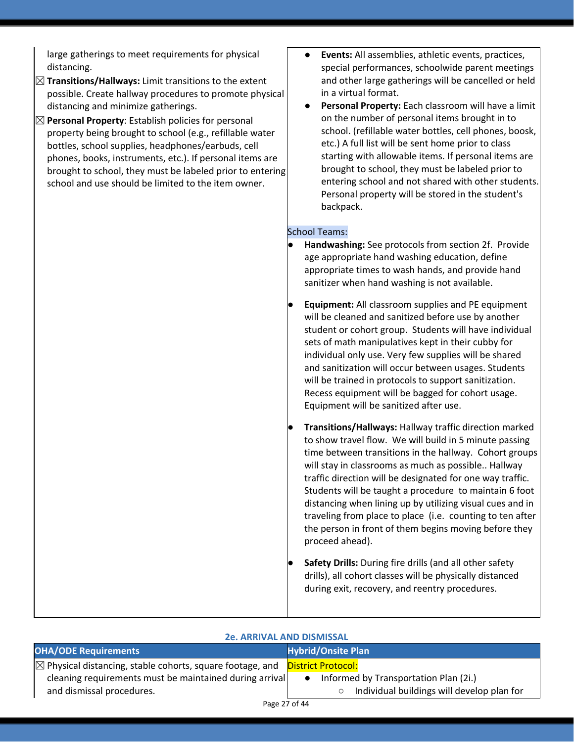large gatherings to meet requirements for physical distancing.

- ☒**Transitions/Hallways:** Limit transitions to the extent possible. Create hallway procedures to promote physical distancing and minimize gatherings.
- ☒**Personal Property**: Establish policies for personal property being brought to school (e.g., refillable water bottles, school supplies, headphones/earbuds, cell phones, books, instruments, etc.). If personal items are brought to school, they must be labeled prior to entering school and use should be limited to the item owner.
- **Events:** All assemblies, athletic events, practices, special performances, schoolwide parent meetings and other large gatherings will be cancelled or held in a virtual format.
- **Personal Property:** Each classroom will have a limit on the number of personal items brought in to school. (refillable water bottles, cell phones, boosk, etc.) A full list will be sent home prior to class starting with allowable items. If personal items are brought to school, they must be labeled prior to entering school and not shared with other students. Personal property will be stored in the student's backpack.

#### School Teams:

- **Handwashing:** See protocols from section 2f. Provide age appropriate hand washing education, define appropriate times to wash hands, and provide hand sanitizer when hand washing is not available.
- **Equipment:** All classroom supplies and PE equipment will be cleaned and sanitized before use by another student or cohort group. Students will have individual sets of math manipulatives kept in their cubby for individual only use. Very few supplies will be shared and sanitization will occur between usages. Students will be trained in protocols to support sanitization. Recess equipment will be bagged for cohort usage. Equipment will be sanitized after use.
- **● Transitions/Hallways:** Hallway traffic direction marked to show travel flow. We will build in 5 minute passing time between transitions in the hallway. Cohort groups will stay in classrooms as much as possible.. Hallway traffic direction will be designated for one way traffic. Students will be taught a procedure to maintain 6 foot distancing when lining up by utilizing visual cues and in traveling from place to place (i.e. counting to ten after the person in front of them begins moving before they proceed ahead).
- **Safety Drills:** During fire drills (and all other safety drills), all cohort classes will be physically distanced during exit, recovery, and reentry procedures.

| <b>ZE. AKKIVAL AND DISIVIISSAL</b>                                   |                                            |  |
|----------------------------------------------------------------------|--------------------------------------------|--|
| <b>OHA/ODE Requirements</b>                                          | <b>Hybrid/Onsite Plan</b>                  |  |
| $\boxtimes$ Physical distancing, stable cohorts, square footage, and | District Protocol:                         |  |
| cleaning requirements must be maintained during arrival              | Informed by Transportation Plan (2i.)      |  |
| and dismissal procedures.                                            | Individual buildings will develop plan for |  |
|                                                                      |                                            |  |

**2e. ARRIVAL AND DISMISSAL**

#### Page 27 of 44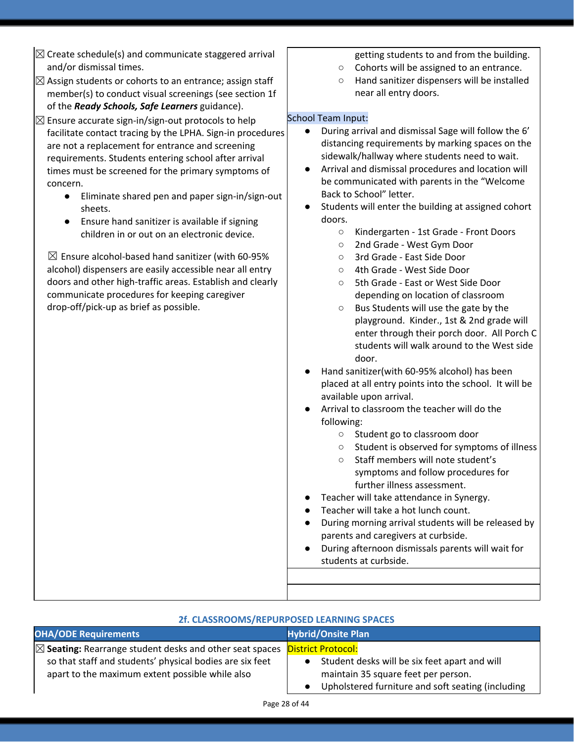| $\boxtimes$ Create schedule(s) and communicate staggered arrival                                                                                                                                                                                                                                                                                                                                                                                                                                                                                                                                                                                                                                                                                                                                                                                                                                                                                                                       | getting students to and from the building.                                                                                                                                                                                                                                                                                                                                                                                                                                                                                                                                                                                                                                                                                                                                                                                                                                                                                                                                                                                                                                                                                                |
|----------------------------------------------------------------------------------------------------------------------------------------------------------------------------------------------------------------------------------------------------------------------------------------------------------------------------------------------------------------------------------------------------------------------------------------------------------------------------------------------------------------------------------------------------------------------------------------------------------------------------------------------------------------------------------------------------------------------------------------------------------------------------------------------------------------------------------------------------------------------------------------------------------------------------------------------------------------------------------------|-------------------------------------------------------------------------------------------------------------------------------------------------------------------------------------------------------------------------------------------------------------------------------------------------------------------------------------------------------------------------------------------------------------------------------------------------------------------------------------------------------------------------------------------------------------------------------------------------------------------------------------------------------------------------------------------------------------------------------------------------------------------------------------------------------------------------------------------------------------------------------------------------------------------------------------------------------------------------------------------------------------------------------------------------------------------------------------------------------------------------------------------|
|                                                                                                                                                                                                                                                                                                                                                                                                                                                                                                                                                                                                                                                                                                                                                                                                                                                                                                                                                                                        |                                                                                                                                                                                                                                                                                                                                                                                                                                                                                                                                                                                                                                                                                                                                                                                                                                                                                                                                                                                                                                                                                                                                           |
|                                                                                                                                                                                                                                                                                                                                                                                                                                                                                                                                                                                                                                                                                                                                                                                                                                                                                                                                                                                        |                                                                                                                                                                                                                                                                                                                                                                                                                                                                                                                                                                                                                                                                                                                                                                                                                                                                                                                                                                                                                                                                                                                                           |
|                                                                                                                                                                                                                                                                                                                                                                                                                                                                                                                                                                                                                                                                                                                                                                                                                                                                                                                                                                                        |                                                                                                                                                                                                                                                                                                                                                                                                                                                                                                                                                                                                                                                                                                                                                                                                                                                                                                                                                                                                                                                                                                                                           |
| and/or dismissal times.<br>$\boxtimes$ Assign students or cohorts to an entrance; assign staff<br>member(s) to conduct visual screenings (see section 1f<br>of the Ready Schools, Safe Learners guidance).<br>$\boxtimes$ Ensure accurate sign-in/sign-out protocols to help<br>facilitate contact tracing by the LPHA. Sign-in procedures<br>are not a replacement for entrance and screening<br>requirements. Students entering school after arrival<br>times must be screened for the primary symptoms of<br>concern.<br>Eliminate shared pen and paper sign-in/sign-out<br>$\bullet$<br>sheets.<br>Ensure hand sanitizer is available if signing<br>children in or out on an electronic device.<br>$\boxtimes$ Ensure alcohol-based hand sanitizer (with 60-95%<br>alcohol) dispensers are easily accessible near all entry<br>doors and other high-traffic areas. Establish and clearly<br>communicate procedures for keeping caregiver<br>drop-off/pick-up as brief as possible. | Cohorts will be assigned to an entrance.<br>$\bigcirc$<br>Hand sanitizer dispensers will be installed<br>$\bigcirc$<br>near all entry doors.<br><b>School Team Input:</b><br>During arrival and dismissal Sage will follow the 6'<br>$\bullet$<br>distancing requirements by marking spaces on the<br>sidewalk/hallway where students need to wait.<br>Arrival and dismissal procedures and location will<br>be communicated with parents in the "Welcome<br>Back to School" letter.<br>Students will enter the building at assigned cohort<br>doors.<br>Kindergarten - 1st Grade - Front Doors<br>$\bigcirc$<br>2nd Grade - West Gym Door<br>$\bigcirc$<br>3rd Grade - East Side Door<br>O<br>4th Grade - West Side Door<br>$\circ$<br>5th Grade - East or West Side Door<br>O<br>depending on location of classroom<br>Bus Students will use the gate by the<br>$\bigcirc$<br>playground. Kinder., 1st & 2nd grade will<br>enter through their porch door. All Porch C<br>students will walk around to the West side<br>door.<br>Hand sanitizer(with 60-95% alcohol) has been<br>placed at all entry points into the school. It will be |
|                                                                                                                                                                                                                                                                                                                                                                                                                                                                                                                                                                                                                                                                                                                                                                                                                                                                                                                                                                                        | available upon arrival.                                                                                                                                                                                                                                                                                                                                                                                                                                                                                                                                                                                                                                                                                                                                                                                                                                                                                                                                                                                                                                                                                                                   |
|                                                                                                                                                                                                                                                                                                                                                                                                                                                                                                                                                                                                                                                                                                                                                                                                                                                                                                                                                                                        | Arrival to classroom the teacher will do the                                                                                                                                                                                                                                                                                                                                                                                                                                                                                                                                                                                                                                                                                                                                                                                                                                                                                                                                                                                                                                                                                              |
|                                                                                                                                                                                                                                                                                                                                                                                                                                                                                                                                                                                                                                                                                                                                                                                                                                                                                                                                                                                        | following:                                                                                                                                                                                                                                                                                                                                                                                                                                                                                                                                                                                                                                                                                                                                                                                                                                                                                                                                                                                                                                                                                                                                |
|                                                                                                                                                                                                                                                                                                                                                                                                                                                                                                                                                                                                                                                                                                                                                                                                                                                                                                                                                                                        | Student go to classroom door<br>$\circ$<br>Student is observed for symptoms of illness<br>$\circ$                                                                                                                                                                                                                                                                                                                                                                                                                                                                                                                                                                                                                                                                                                                                                                                                                                                                                                                                                                                                                                         |
|                                                                                                                                                                                                                                                                                                                                                                                                                                                                                                                                                                                                                                                                                                                                                                                                                                                                                                                                                                                        | Staff members will note student's<br>O                                                                                                                                                                                                                                                                                                                                                                                                                                                                                                                                                                                                                                                                                                                                                                                                                                                                                                                                                                                                                                                                                                    |
|                                                                                                                                                                                                                                                                                                                                                                                                                                                                                                                                                                                                                                                                                                                                                                                                                                                                                                                                                                                        | symptoms and follow procedures for                                                                                                                                                                                                                                                                                                                                                                                                                                                                                                                                                                                                                                                                                                                                                                                                                                                                                                                                                                                                                                                                                                        |
|                                                                                                                                                                                                                                                                                                                                                                                                                                                                                                                                                                                                                                                                                                                                                                                                                                                                                                                                                                                        | further illness assessment.                                                                                                                                                                                                                                                                                                                                                                                                                                                                                                                                                                                                                                                                                                                                                                                                                                                                                                                                                                                                                                                                                                               |
|                                                                                                                                                                                                                                                                                                                                                                                                                                                                                                                                                                                                                                                                                                                                                                                                                                                                                                                                                                                        | Teacher will take attendance in Synergy.                                                                                                                                                                                                                                                                                                                                                                                                                                                                                                                                                                                                                                                                                                                                                                                                                                                                                                                                                                                                                                                                                                  |
|                                                                                                                                                                                                                                                                                                                                                                                                                                                                                                                                                                                                                                                                                                                                                                                                                                                                                                                                                                                        | Teacher will take a hot lunch count.                                                                                                                                                                                                                                                                                                                                                                                                                                                                                                                                                                                                                                                                                                                                                                                                                                                                                                                                                                                                                                                                                                      |
|                                                                                                                                                                                                                                                                                                                                                                                                                                                                                                                                                                                                                                                                                                                                                                                                                                                                                                                                                                                        | During morning arrival students will be released by                                                                                                                                                                                                                                                                                                                                                                                                                                                                                                                                                                                                                                                                                                                                                                                                                                                                                                                                                                                                                                                                                       |
|                                                                                                                                                                                                                                                                                                                                                                                                                                                                                                                                                                                                                                                                                                                                                                                                                                                                                                                                                                                        | parents and caregivers at curbside.                                                                                                                                                                                                                                                                                                                                                                                                                                                                                                                                                                                                                                                                                                                                                                                                                                                                                                                                                                                                                                                                                                       |
|                                                                                                                                                                                                                                                                                                                                                                                                                                                                                                                                                                                                                                                                                                                                                                                                                                                                                                                                                                                        | During afternoon dismissals parents will wait for<br>students at curbside.                                                                                                                                                                                                                                                                                                                                                                                                                                                                                                                                                                                                                                                                                                                                                                                                                                                                                                                                                                                                                                                                |
|                                                                                                                                                                                                                                                                                                                                                                                                                                                                                                                                                                                                                                                                                                                                                                                                                                                                                                                                                                                        |                                                                                                                                                                                                                                                                                                                                                                                                                                                                                                                                                                                                                                                                                                                                                                                                                                                                                                                                                                                                                                                                                                                                           |
|                                                                                                                                                                                                                                                                                                                                                                                                                                                                                                                                                                                                                                                                                                                                                                                                                                                                                                                                                                                        |                                                                                                                                                                                                                                                                                                                                                                                                                                                                                                                                                                                                                                                                                                                                                                                                                                                                                                                                                                                                                                                                                                                                           |

Ē

| 2f. CLASSROOMS/REPURPOSED LEARNING SPACES                                                                                                                                                                           |                                                                                                                                                        |
|---------------------------------------------------------------------------------------------------------------------------------------------------------------------------------------------------------------------|--------------------------------------------------------------------------------------------------------------------------------------------------------|
| <b>OHA/ODE Requirements</b>                                                                                                                                                                                         | <b>Hybrid/Onsite Plan</b>                                                                                                                              |
| $\boxtimes$ Seating: Rearrange student desks and other seat spaces $\blacksquare$ District Protocol:<br>so that staff and students' physical bodies are six feet<br>apart to the maximum extent possible while also | Student desks will be six feet apart and will<br>$\bullet$<br>maintain 35 square feet per person.<br>Upholstered furniture and soft seating (including |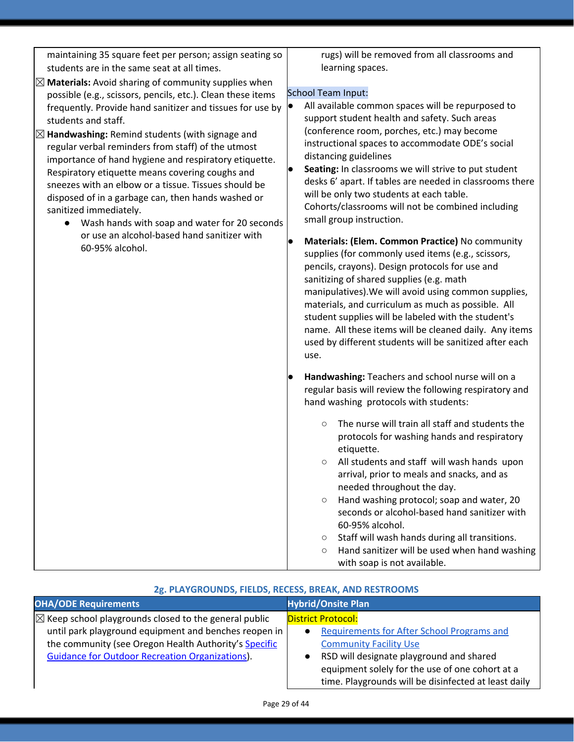maintaining 35 square feet per person; assign seating so students are in the same seat at all times. rugs) will be removed from all classrooms and learning spaces. School Team Input: ● All available common spaces will be repurposed to support student health and safety. Such areas (conference room, porches, etc.) may become instructional spaces to accommodate ODE's social distancing guidelines Seating: In classrooms we will strive to put student desks 6' apart. If tables are needed in classrooms there will be only two students at each table. Cohorts/classrooms will not be combined including small group instruction. ● **Materials: (Elem. Common Practice)** No community supplies (for commonly used items (e.g., scissors, pencils, crayons). Design protocols for use and sanitizing of shared supplies (e.g. math manipulatives).We will avoid using common supplies, materials, and curriculum as much as possible. All student supplies will be labeled with the student's name. All these items will be cleaned daily. Any items used by different students will be sanitized after each use. ● **Handwashing:** Teachers and school nurse will on a regular basis will review the following respiratory and hand washing protocols with students: ○ The nurse will train all staff and students the protocols for washing hands and respiratory etiquette. ○ All students and staff will wash hands upon arrival, prior to meals and snacks, and as needed throughout the day. ○ Hand washing protocol; soap and water, 20 seconds or alcohol-based hand sanitizer with 60-95% alcohol. ○ Staff will wash hands during all transitions. ○ Hand sanitizer will be used when hand washing with soap is not available. ☒**Materials:** Avoid sharing of community supplies when possible (e.g., scissors, pencils, etc.). Clean these items frequently. Provide hand sanitizer and tissues for use by students and staff. ☒**Handwashing:** Remind students (with signage and regular verbal reminders from staff) of the utmost importance of hand hygiene and respiratory etiquette. Respiratory etiquette means covering coughs and sneezes with an elbow or a tissue. Tissues should be disposed of in a garbage can, then hands washed or sanitized immediately. ● Wash hands with soap and water for 20 seconds or use an alcohol-based hand sanitizer with 60-95% alcohol.

| 2g. PLAYGROUNDS, FIELDS, RECESS, BREAK, AND RESTROOMS            |                                                                |
|------------------------------------------------------------------|----------------------------------------------------------------|
| <b>OHA/ODE Requirements</b>                                      | <b>Hybrid/Onsite Plan</b>                                      |
| $\boxtimes$ Keep school playgrounds closed to the general public | <b>District Protocol:</b>                                      |
| until park playground equipment and benches reopen in            | <b>Requirements for After School Programs and</b><br>$\bullet$ |
| the community (see Oregon Health Authority's Specific            | <b>Community Facility Use</b>                                  |
| <b>Guidance for Outdoor Recreation Organizations).</b>           | RSD will designate playground and shared                       |
|                                                                  | equipment solely for the use of one cohort at a                |
|                                                                  | time. Playgrounds will be disinfected at least daily           |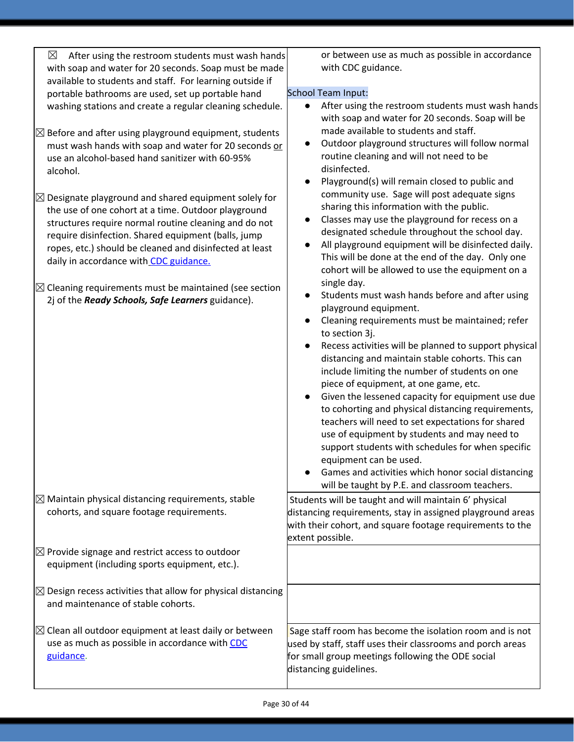| $\boxtimes$<br>After using the restroom students must wash hands                                                                                                                                                                                                                                                                             | or between use as much as possible in accordance                                                                                                                                                                                                                                                                                                                                                                                                                                                                                                                                                                              |
|----------------------------------------------------------------------------------------------------------------------------------------------------------------------------------------------------------------------------------------------------------------------------------------------------------------------------------------------|-------------------------------------------------------------------------------------------------------------------------------------------------------------------------------------------------------------------------------------------------------------------------------------------------------------------------------------------------------------------------------------------------------------------------------------------------------------------------------------------------------------------------------------------------------------------------------------------------------------------------------|
| with soap and water for 20 seconds. Soap must be made                                                                                                                                                                                                                                                                                        | with CDC guidance.                                                                                                                                                                                                                                                                                                                                                                                                                                                                                                                                                                                                            |
| available to students and staff. For learning outside if                                                                                                                                                                                                                                                                                     |                                                                                                                                                                                                                                                                                                                                                                                                                                                                                                                                                                                                                               |
| portable bathrooms are used, set up portable hand                                                                                                                                                                                                                                                                                            | School Team Input:                                                                                                                                                                                                                                                                                                                                                                                                                                                                                                                                                                                                            |
| washing stations and create a regular cleaning schedule.                                                                                                                                                                                                                                                                                     | After using the restroom students must wash hands<br>$\bullet$<br>with soap and water for 20 seconds. Soap will be<br>made available to students and staff.                                                                                                                                                                                                                                                                                                                                                                                                                                                                   |
| $\boxtimes$ Before and after using playground equipment, students<br>must wash hands with soap and water for 20 seconds or<br>use an alcohol-based hand sanitizer with 60-95%<br>alcohol.                                                                                                                                                    | Outdoor playground structures will follow normal<br>$\bullet$<br>routine cleaning and will not need to be<br>disinfected.<br>Playground(s) will remain closed to public and<br>$\bullet$                                                                                                                                                                                                                                                                                                                                                                                                                                      |
| $\boxtimes$ Designate playground and shared equipment solely for<br>the use of one cohort at a time. Outdoor playground<br>structures require normal routine cleaning and do not<br>require disinfection. Shared equipment (balls, jump<br>ropes, etc.) should be cleaned and disinfected at least<br>daily in accordance with CDC guidance. | community use. Sage will post adequate signs<br>sharing this information with the public.<br>Classes may use the playground for recess on a<br>$\bullet$<br>designated schedule throughout the school day.<br>All playground equipment will be disinfected daily.<br>$\bullet$<br>This will be done at the end of the day. Only one<br>cohort will be allowed to use the equipment on a<br>single day.                                                                                                                                                                                                                        |
| $\boxtimes$ Cleaning requirements must be maintained (see section<br>2j of the Ready Schools, Safe Learners guidance).                                                                                                                                                                                                                       | Students must wash hands before and after using<br>$\bullet$<br>playground equipment.<br>Cleaning requirements must be maintained; refer                                                                                                                                                                                                                                                                                                                                                                                                                                                                                      |
|                                                                                                                                                                                                                                                                                                                                              | to section 3j.<br>Recess activities will be planned to support physical<br>distancing and maintain stable cohorts. This can<br>include limiting the number of students on one<br>piece of equipment, at one game, etc.<br>Given the lessened capacity for equipment use due<br>to cohorting and physical distancing requirements,<br>teachers will need to set expectations for shared<br>use of equipment by students and may need to<br>support students with schedules for when specific<br>equipment can be used.<br>Games and activities which honor social distancing<br>will be taught by P.E. and classroom teachers. |
| $\boxtimes$ Maintain physical distancing requirements, stable<br>cohorts, and square footage requirements.                                                                                                                                                                                                                                   | Students will be taught and will maintain 6' physical<br>distancing requirements, stay in assigned playground areas<br>with their cohort, and square footage requirements to the<br>extent possible.                                                                                                                                                                                                                                                                                                                                                                                                                          |
| $\boxtimes$ Provide signage and restrict access to outdoor<br>equipment (including sports equipment, etc.).                                                                                                                                                                                                                                  |                                                                                                                                                                                                                                                                                                                                                                                                                                                                                                                                                                                                                               |
| $\boxtimes$ Design recess activities that allow for physical distancing<br>and maintenance of stable cohorts.                                                                                                                                                                                                                                |                                                                                                                                                                                                                                                                                                                                                                                                                                                                                                                                                                                                                               |
| $\boxtimes$ Clean all outdoor equipment at least daily or between<br>use as much as possible in accordance with CDC<br>guidance.                                                                                                                                                                                                             | Sage staff room has become the isolation room and is not<br>used by staff, staff uses their classrooms and porch areas<br>for small group meetings following the ODE social<br>distancing guidelines.                                                                                                                                                                                                                                                                                                                                                                                                                         |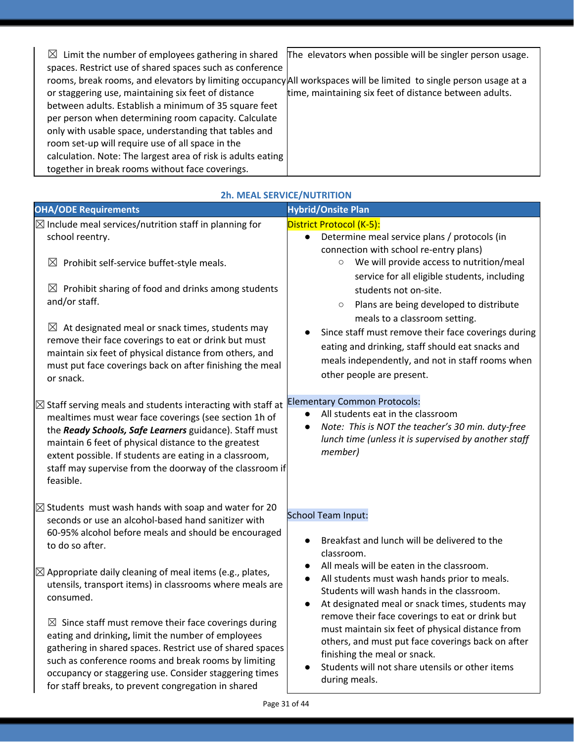| $\boxtimes$ Limit the number of employees gathering in shared                                                      | The elevators when possible will be singler person usage. |
|--------------------------------------------------------------------------------------------------------------------|-----------------------------------------------------------|
| spaces. Restrict use of shared spaces such as conference                                                           |                                                           |
| rooms, break rooms, and elevators by limiting occupancy All workspaces will be limited to single person usage at a |                                                           |
| or staggering use, maintaining six feet of distance                                                                | time, maintaining six feet of distance between adults.    |
| between adults. Establish a minimum of 35 square feet                                                              |                                                           |
| per person when determining room capacity. Calculate                                                               |                                                           |
| only with usable space, understanding that tables and                                                              |                                                           |
| room set-up will require use of all space in the                                                                   |                                                           |
| calculation. Note: The largest area of risk is adults eating                                                       |                                                           |
| together in break rooms without face coverings.                                                                    |                                                           |
|                                                                                                                    |                                                           |

| <b>OHA/ODE Requirements</b>                                                                                                                                                                                                                                                                                                                                                           | <b>Hybrid/Onsite Plan</b>                                                                                                                                                                                                                                                                    |
|---------------------------------------------------------------------------------------------------------------------------------------------------------------------------------------------------------------------------------------------------------------------------------------------------------------------------------------------------------------------------------------|----------------------------------------------------------------------------------------------------------------------------------------------------------------------------------------------------------------------------------------------------------------------------------------------|
| $\boxtimes$ Include meal services/nutrition staff in planning for                                                                                                                                                                                                                                                                                                                     | District Protocol (K-5):                                                                                                                                                                                                                                                                     |
| school reentry.<br>$\boxtimes$ Prohibit self-service buffet-style meals.<br>$\boxtimes$ Prohibit sharing of food and drinks among students<br>and/or staff.                                                                                                                                                                                                                           | Determine meal service plans / protocols (in<br>$\bullet$<br>connection with school re-entry plans)<br>We will provide access to nutrition/meal<br>$\bigcirc$<br>service for all eligible students, including<br>students not on-site.<br>Plans are being developed to distribute<br>$\circ$ |
| $\boxtimes$ At designated meal or snack times, students may<br>remove their face coverings to eat or drink but must<br>maintain six feet of physical distance from others, and<br>must put face coverings back on after finishing the meal<br>or snack.                                                                                                                               | meals to a classroom setting.<br>Since staff must remove their face coverings during<br>eating and drinking, staff should eat snacks and<br>meals independently, and not in staff rooms when<br>other people are present.                                                                    |
| $\boxtimes$ Staff serving meals and students interacting with staff at<br>mealtimes must wear face coverings (see section 1h of<br>the Ready Schools, Safe Learners guidance). Staff must<br>maintain 6 feet of physical distance to the greatest<br>extent possible. If students are eating in a classroom,<br>staff may supervise from the doorway of the classroom if<br>feasible. | <b>Elementary Common Protocols:</b><br>All students eat in the classroom<br>Note: This is NOT the teacher's 30 min. duty-free<br>lunch time (unless it is supervised by another staff<br>member)                                                                                             |
| $\boxtimes$ Students must wash hands with soap and water for 20<br>seconds or use an alcohol-based hand sanitizer with<br>60-95% alcohol before meals and should be encouraged<br>to do so after.                                                                                                                                                                                     | School Team Input:<br>Breakfast and lunch will be delivered to the<br>classroom.                                                                                                                                                                                                             |
| $\boxtimes$ Appropriate daily cleaning of meal items (e.g., plates,<br>utensils, transport items) in classrooms where meals are<br>consumed.                                                                                                                                                                                                                                          | All meals will be eaten in the classroom.<br>All students must wash hands prior to meals.<br>$\bullet$<br>Students will wash hands in the classroom.<br>At designated meal or snack times, students may<br>remove their face coverings to eat or drink but                                   |
| $\boxtimes$ Since staff must remove their face coverings during<br>eating and drinking, limit the number of employees<br>gathering in shared spaces. Restrict use of shared spaces<br>such as conference rooms and break rooms by limiting<br>occupancy or staggering use. Consider staggering times<br>for staff breaks, to prevent congregation in shared                           | must maintain six feet of physical distance from<br>others, and must put face coverings back on after<br>finishing the meal or snack.<br>Students will not share utensils or other items<br>during meals.                                                                                    |

#### **2h. MEAL SERVICE/NUTRITION**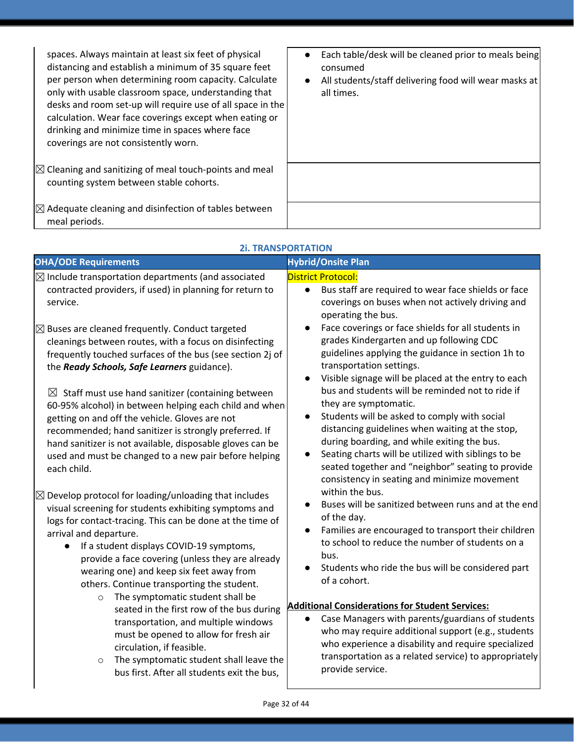| spaces. Always maintain at least six feet of physical<br>distancing and establish a minimum of 35 square feet<br>per person when determining room capacity. Calculate<br>only with usable classroom space, understanding that<br>desks and room set-up will require use of all space in the<br>calculation. Wear face coverings except when eating or<br>drinking and minimize time in spaces where face<br>coverings are not consistently worn. | Each table/desk will be cleaned prior to meals being<br>$\bullet$<br>consumed<br>All students/staff delivering food will wear masks at<br>$\bullet$<br>all times. |
|--------------------------------------------------------------------------------------------------------------------------------------------------------------------------------------------------------------------------------------------------------------------------------------------------------------------------------------------------------------------------------------------------------------------------------------------------|-------------------------------------------------------------------------------------------------------------------------------------------------------------------|
| $\mathbb{Z}$ Cleaning and sanitizing of meal touch-points and meal<br>counting system between stable cohorts.                                                                                                                                                                                                                                                                                                                                    |                                                                                                                                                                   |
| $\boxtimes$ Adequate cleaning and disinfection of tables between<br>meal periods.                                                                                                                                                                                                                                                                                                                                                                |                                                                                                                                                                   |

| <b>OHA/ODE Requirements</b>                                                                                                                                                                                                                                                                                                                                                                                                                                                                                                                                                                                                                                                                                                                                                                                                                                                                                                                                                                                               | <b>Hybrid/Onsite Plan</b>                                                                                                                                                                                                                                                                                                                                                                                                                                                                                                                                                                                                                                                                                                                                                                                                                                                                                                      |
|---------------------------------------------------------------------------------------------------------------------------------------------------------------------------------------------------------------------------------------------------------------------------------------------------------------------------------------------------------------------------------------------------------------------------------------------------------------------------------------------------------------------------------------------------------------------------------------------------------------------------------------------------------------------------------------------------------------------------------------------------------------------------------------------------------------------------------------------------------------------------------------------------------------------------------------------------------------------------------------------------------------------------|--------------------------------------------------------------------------------------------------------------------------------------------------------------------------------------------------------------------------------------------------------------------------------------------------------------------------------------------------------------------------------------------------------------------------------------------------------------------------------------------------------------------------------------------------------------------------------------------------------------------------------------------------------------------------------------------------------------------------------------------------------------------------------------------------------------------------------------------------------------------------------------------------------------------------------|
| $\boxtimes$ Include transportation departments (and associated<br>contracted providers, if used) in planning for return to<br>service.                                                                                                                                                                                                                                                                                                                                                                                                                                                                                                                                                                                                                                                                                                                                                                                                                                                                                    | <b>District Protocol:</b><br>Bus staff are required to wear face shields or face<br>$\bullet$<br>coverings on buses when not actively driving and<br>operating the bus.                                                                                                                                                                                                                                                                                                                                                                                                                                                                                                                                                                                                                                                                                                                                                        |
| $\boxtimes$ Buses are cleaned frequently. Conduct targeted<br>cleanings between routes, with a focus on disinfecting<br>frequently touched surfaces of the bus (see section 2j of<br>the Ready Schools, Safe Learners guidance).<br>$\boxtimes$ Staff must use hand sanitizer (containing between<br>60-95% alcohol) in between helping each child and when<br>getting on and off the vehicle. Gloves are not<br>recommended; hand sanitizer is strongly preferred. If<br>hand sanitizer is not available, disposable gloves can be<br>used and must be changed to a new pair before helping<br>each child.<br>$\boxtimes$ Develop protocol for loading/unloading that includes<br>visual screening for students exhibiting symptoms and<br>logs for contact-tracing. This can be done at the time of<br>arrival and departure.<br>If a student displays COVID-19 symptoms,<br>provide a face covering (unless they are already<br>wearing one) and keep six feet away from<br>others. Continue transporting the student. | Face coverings or face shields for all students in<br>grades Kindergarten and up following CDC<br>guidelines applying the guidance in section 1h to<br>transportation settings.<br>Visible signage will be placed at the entry to each<br>bus and students will be reminded not to ride if<br>they are symptomatic.<br>Students will be asked to comply with social<br>distancing guidelines when waiting at the stop,<br>during boarding, and while exiting the bus.<br>Seating charts will be utilized with siblings to be<br>seated together and "neighbor" seating to provide<br>consistency in seating and minimize movement<br>within the bus.<br>Buses will be sanitized between runs and at the end<br>of the day.<br>Families are encouraged to transport their children<br>$\bullet$<br>to school to reduce the number of students on a<br>bus.<br>Students who ride the bus will be considered part<br>of a cohort. |
| The symptomatic student shall be<br>$\circ$<br>seated in the first row of the bus during<br>transportation, and multiple windows<br>must be opened to allow for fresh air<br>circulation, if feasible.<br>The symptomatic student shall leave the<br>$\circ$<br>bus first. After all students exit the bus,                                                                                                                                                                                                                                                                                                                                                                                                                                                                                                                                                                                                                                                                                                               | <b>Additional Considerations for Student Services:</b><br>Case Managers with parents/guardians of students<br>who may require additional support (e.g., students<br>who experience a disability and require specialized<br>transportation as a related service) to appropriately<br>provide service.                                                                                                                                                                                                                                                                                                                                                                                                                                                                                                                                                                                                                           |

# **2i. TRANSPORTATION**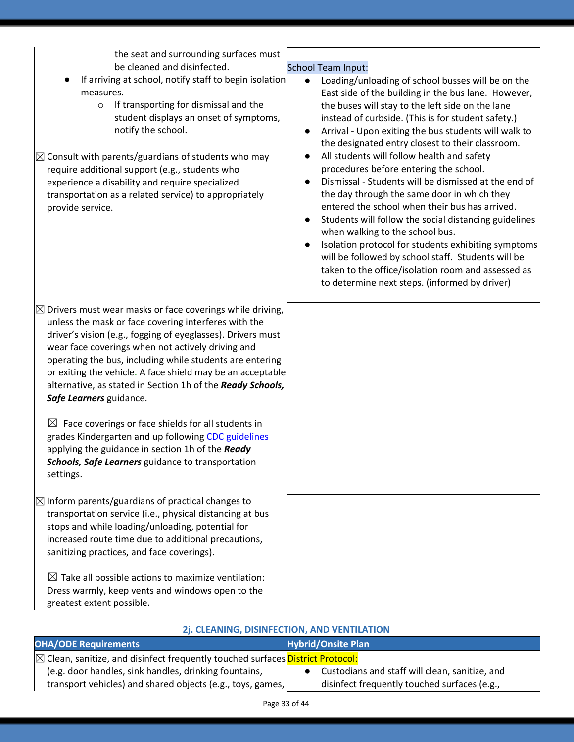| the seat and surrounding surfaces must<br>be cleaned and disinfected.<br>If arriving at school, notify staff to begin isolation<br>measures.<br>If transporting for dismissal and the<br>$\circ$<br>student displays an onset of symptoms,<br>notify the school.<br>$\boxtimes$ Consult with parents/guardians of students who may<br>require additional support (e.g., students who<br>experience a disability and require specialized<br>transportation as a related service) to appropriately<br>provide service.                                                                                                                                                                                               | <b>School Team Input:</b><br>Loading/unloading of school busses will be on the<br>$\bullet$<br>East side of the building in the bus lane. However,<br>the buses will stay to the left side on the lane<br>instead of curbside. (This is for student safety.)<br>Arrival - Upon exiting the bus students will walk to<br>$\bullet$<br>the designated entry closest to their classroom.<br>All students will follow health and safety<br>$\bullet$<br>procedures before entering the school.<br>Dismissal - Students will be dismissed at the end of<br>$\bullet$<br>the day through the same door in which they<br>entered the school when their bus has arrived.<br>Students will follow the social distancing guidelines<br>$\bullet$<br>when walking to the school bus.<br>Isolation protocol for students exhibiting symptoms<br>$\bullet$<br>will be followed by school staff. Students will be<br>taken to the office/isolation room and assessed as<br>to determine next steps. (informed by driver) |
|--------------------------------------------------------------------------------------------------------------------------------------------------------------------------------------------------------------------------------------------------------------------------------------------------------------------------------------------------------------------------------------------------------------------------------------------------------------------------------------------------------------------------------------------------------------------------------------------------------------------------------------------------------------------------------------------------------------------|------------------------------------------------------------------------------------------------------------------------------------------------------------------------------------------------------------------------------------------------------------------------------------------------------------------------------------------------------------------------------------------------------------------------------------------------------------------------------------------------------------------------------------------------------------------------------------------------------------------------------------------------------------------------------------------------------------------------------------------------------------------------------------------------------------------------------------------------------------------------------------------------------------------------------------------------------------------------------------------------------------|
| $\boxtimes$ Drivers must wear masks or face coverings while driving,<br>unless the mask or face covering interferes with the<br>driver's vision (e.g., fogging of eyeglasses). Drivers must<br>wear face coverings when not actively driving and<br>operating the bus, including while students are entering<br>or exiting the vehicle. A face shield may be an acceptable<br>alternative, as stated in Section 1h of the Ready Schools,<br>Safe Learners guidance.<br>$\boxtimes$ Face coverings or face shields for all students in<br>grades Kindergarten and up following CDC guidelines<br>applying the guidance in section 1h of the Ready<br>Schools, Safe Learners guidance to transportation<br>settings. |                                                                                                                                                                                                                                                                                                                                                                                                                                                                                                                                                                                                                                                                                                                                                                                                                                                                                                                                                                                                            |
| $\boxtimes$ Inform parents/guardians of practical changes to<br>transportation service (i.e., physical distancing at bus<br>stops and while loading/unloading, potential for<br>increased route time due to additional precautions,<br>sanitizing practices, and face coverings).<br>$\boxtimes$ Take all possible actions to maximize ventilation:<br>Dress warmly, keep vents and windows open to the<br>greatest extent possible.                                                                                                                                                                                                                                                                               |                                                                                                                                                                                                                                                                                                                                                                                                                                                                                                                                                                                                                                                                                                                                                                                                                                                                                                                                                                                                            |

# **2j. CLEANING, DISINFECTION, AND VENTILATION**

| <b>OHA/ODE Requirements</b>                                                                      | <b>Hybrid/Onsite Plan</b>                      |
|--------------------------------------------------------------------------------------------------|------------------------------------------------|
| $\boxtimes$ Clean, sanitize, and disinfect frequently touched surfaces <b>District Protocol:</b> |                                                |
| (e.g. door handles, sink handles, drinking fountains,                                            | Custodians and staff will clean, sanitize, and |
| transport vehicles) and shared objects (e.g., toys, games,                                       | disinfect frequently touched surfaces (e.g.,   |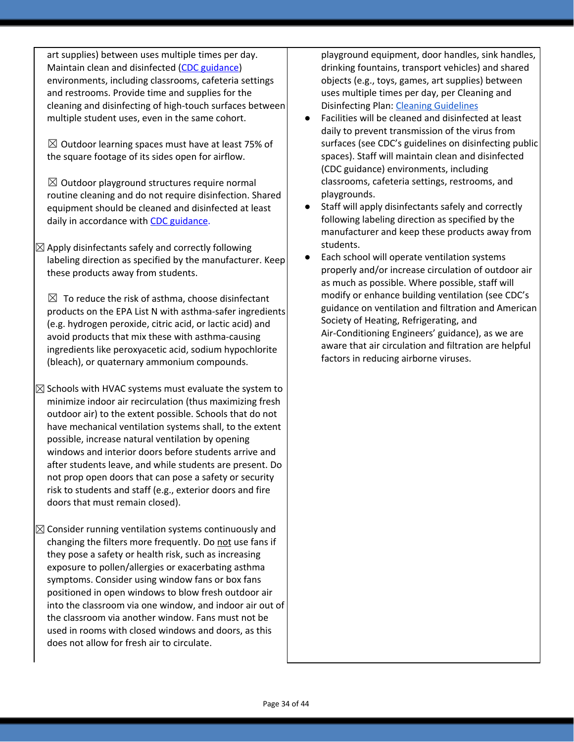art supplies) between uses multiple times per day. Maintain clean and disinfected (CDC guidance) environments, including classrooms, cafeteria settings and restrooms. Provide time and supplies for the cleaning and disinfecting of high-touch surfaces between multiple student uses, even in the same cohort.

 $\boxtimes$  Outdoor learning spaces must have at least 75% of the square footage of its sides open for airflow.

 $\boxtimes$  Outdoor playground structures require normal routine cleaning and do not require disinfection. Shared equipment should be cleaned and disinfected at least daily in accordance wit[h](https://www.cdc.gov/coronavirus/2019-ncov/community/clean-disinfect/index.html) CDC [guidance.](https://www.cdc.gov/coronavirus/2019-ncov/community/clean-disinfect/index.html)

 $\boxtimes$  Apply disinfectants safely and correctly following labeling direction as specified by the manufacturer. Keep these products away from students.

 $\boxtimes$  To reduce the risk of asthma, choose disinfectant products on the EPA List N with asthma-safer ingredients (e.g. hydrogen peroxide, citric acid, or lactic acid) and avoid products that mix these with asthma-causing ingredients like peroxyacetic acid, sodium hypochlorite (bleach), or quaternary ammonium compounds.

- $\boxtimes$  Schools with HVAC systems must evaluate the system to minimize indoor air recirculation (thus maximizing fresh outdoor air) to the extent possible. Schools that do not have mechanical ventilation systems shall, to the extent possible, increase natural ventilation by opening windows and interior doors before students arrive and after students leave, and while students are present. Do not prop open doors that can pose a safety or security risk to students and staff (e.g., exterior doors and fire doors that must remain closed).
- $\boxtimes$  Consider running ventilation systems continuously and changing the filters more frequently. Do not use fans if they pose a safety or health risk, such as increasing exposure to pollen/allergies or exacerbating asthma symptoms. Consider using window fans or box fans positioned in open windows to blow fresh outdoor air into the classroom via one window, and indoor air out of the classroom via another window. Fans must not be used in rooms with closed windows and doors, as this does not allow for fresh air to circulate.

playground equipment, door handles, sink handles, drinking fountains, transport vehicles) and shared objects (e.g., toys, games, art supplies) between uses multiple times per day, per Cleaning and Disinfecting Plan: Cleaning [Guidelines](https://docs.google.com/document/d/1X-GDErMuIsuLcBAkmQ0Sc9jkF6hVXN8P5NF5PvzKqa8/edit?ts=5f1f1410)

- Facilities will be cleaned and disinfected at least daily to prevent transmission of the virus from surfaces (see CDC's guidelines on disinfecting public spaces). Staff will maintain clean and disinfected (CDC guidance) environments, including classrooms, cafeteria settings, restrooms, and playgrounds.
- Staff will apply disinfectants safely and correctly following labeling direction as specified by the manufacturer and keep these products away from students.
- Each school will operate ventilation systems properly and/or increase circulation of outdoor air as much as possible. Where possible, staff will modify or enhance building ventilation (see CDC's guidance on ventilation and filtration and American Society of Heating, Refrigerating, and Air-Conditioning Engineers' guidance), as we are aware that air circulation and filtration are helpful factors in reducing airborne viruses.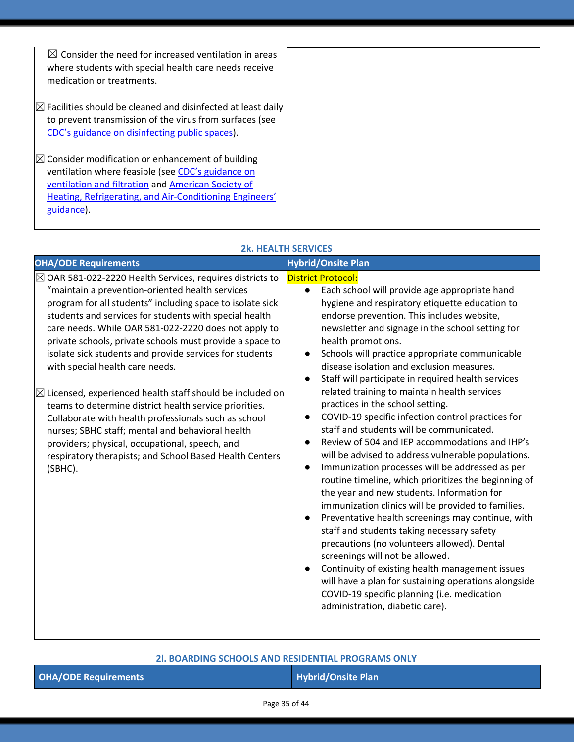| $\boxtimes$ Consider the need for increased ventilation in areas<br>where students with special health care needs receive<br>medication or treatments. |  |
|--------------------------------------------------------------------------------------------------------------------------------------------------------|--|
| $\boxtimes$ Facilities should be cleaned and disinfected at least daily                                                                                |  |
| to prevent transmission of the virus from surfaces (see                                                                                                |  |
| CDC's guidance on disinfecting public spaces).                                                                                                         |  |
|                                                                                                                                                        |  |
| $\boxtimes$ Consider modification or enhancement of building                                                                                           |  |
| ventilation where feasible (see CDC's guidance on                                                                                                      |  |
| ventilation and filtration and American Society of                                                                                                     |  |
| <b>Heating, Refrigerating, and Air-Conditioning Engineers'</b>                                                                                         |  |
| guidance).                                                                                                                                             |  |
|                                                                                                                                                        |  |

# **2k. HEALTH SERVICES**

| <b>OHA/ODE Requirements</b>                                                                                                                                                                                                                                                                                                                                                                                                                                                                                                                                                                                                                                                                                                                                                                                                           | <b>Hybrid/Onsite Plan</b>                                                                                                                                                                                                                                                                                                                                                                                                                                                                                                                                                                                                                                                                                                                                                                                                                                                                                                                                                                                                                                                                                                                                                                                                                                                                                                                                                             |
|---------------------------------------------------------------------------------------------------------------------------------------------------------------------------------------------------------------------------------------------------------------------------------------------------------------------------------------------------------------------------------------------------------------------------------------------------------------------------------------------------------------------------------------------------------------------------------------------------------------------------------------------------------------------------------------------------------------------------------------------------------------------------------------------------------------------------------------|---------------------------------------------------------------------------------------------------------------------------------------------------------------------------------------------------------------------------------------------------------------------------------------------------------------------------------------------------------------------------------------------------------------------------------------------------------------------------------------------------------------------------------------------------------------------------------------------------------------------------------------------------------------------------------------------------------------------------------------------------------------------------------------------------------------------------------------------------------------------------------------------------------------------------------------------------------------------------------------------------------------------------------------------------------------------------------------------------------------------------------------------------------------------------------------------------------------------------------------------------------------------------------------------------------------------------------------------------------------------------------------|
| $\boxtimes$ OAR 581-022-2220 Health Services, requires districts to<br>"maintain a prevention-oriented health services<br>program for all students" including space to isolate sick<br>students and services for students with special health<br>care needs. While OAR 581-022-2220 does not apply to<br>private schools, private schools must provide a space to<br>isolate sick students and provide services for students<br>with special health care needs.<br>$\boxtimes$ Licensed, experienced health staff should be included on<br>teams to determine district health service priorities.<br>Collaborate with health professionals such as school<br>nurses; SBHC staff; mental and behavioral health<br>providers; physical, occupational, speech, and<br>respiratory therapists; and School Based Health Centers<br>(SBHC). | <b>District Protocol:</b><br>Each school will provide age appropriate hand<br>$\bullet$<br>hygiene and respiratory etiquette education to<br>endorse prevention. This includes website,<br>newsletter and signage in the school setting for<br>health promotions.<br>Schools will practice appropriate communicable<br>disease isolation and exclusion measures.<br>Staff will participate in required health services<br>related training to maintain health services<br>practices in the school setting.<br>COVID-19 specific infection control practices for<br>$\bullet$<br>staff and students will be communicated.<br>Review of 504 and IEP accommodations and IHP's<br>$\bullet$<br>will be advised to address vulnerable populations.<br>Immunization processes will be addressed as per<br>$\bullet$<br>routine timeline, which prioritizes the beginning of<br>the year and new students. Information for<br>immunization clinics will be provided to families.<br>Preventative health screenings may continue, with<br>$\bullet$<br>staff and students taking necessary safety<br>precautions (no volunteers allowed). Dental<br>screenings will not be allowed.<br>Continuity of existing health management issues<br>$\bullet$<br>will have a plan for sustaining operations alongside<br>COVID-19 specific planning (i.e. medication<br>administration, diabetic care). |
|                                                                                                                                                                                                                                                                                                                                                                                                                                                                                                                                                                                                                                                                                                                                                                                                                                       |                                                                                                                                                                                                                                                                                                                                                                                                                                                                                                                                                                                                                                                                                                                                                                                                                                                                                                                                                                                                                                                                                                                                                                                                                                                                                                                                                                                       |

## **2l. BOARDING SCHOOLS AND RESIDENTIAL PROGRAMS ONLY**

| <b>OHA/ODE Requirements</b> |
|-----------------------------|
|                             |

**Hybrid/Onsite Plan**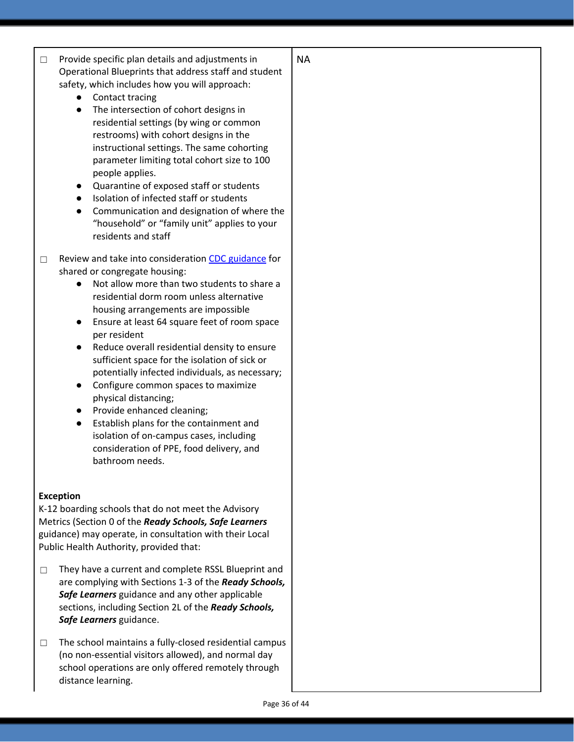| Provide specific plan details and adjustments in<br>$\Box$<br>Operational Blueprints that address staff and student<br>safety, which includes how you will approach:<br>Contact tracing<br>$\bullet$<br>The intersection of cohort designs in<br>$\bullet$<br>residential settings (by wing or common<br>restrooms) with cohort designs in the<br>instructional settings. The same cohorting<br>parameter limiting total cohort size to 100<br>people applies.<br>Quarantine of exposed staff or students<br>Isolation of infected staff or students<br>Communication and designation of where the<br>$\bullet$<br>"household" or "family unit" applies to your<br>residents and staff                                                                                  | <b>NA</b> |
|-------------------------------------------------------------------------------------------------------------------------------------------------------------------------------------------------------------------------------------------------------------------------------------------------------------------------------------------------------------------------------------------------------------------------------------------------------------------------------------------------------------------------------------------------------------------------------------------------------------------------------------------------------------------------------------------------------------------------------------------------------------------------|-----------|
| Review and take into consideration CDC guidance for<br>$\Box$<br>shared or congregate housing:<br>Not allow more than two students to share a<br>$\bullet$<br>residential dorm room unless alternative<br>housing arrangements are impossible<br>Ensure at least 64 square feet of room space<br>$\bullet$<br>per resident<br>Reduce overall residential density to ensure<br>$\bullet$<br>sufficient space for the isolation of sick or<br>potentially infected individuals, as necessary;<br>Configure common spaces to maximize<br>$\bullet$<br>physical distancing;<br>Provide enhanced cleaning;<br>Establish plans for the containment and<br>$\bullet$<br>isolation of on-campus cases, including<br>consideration of PPE, food delivery, and<br>bathroom needs. |           |
| <b>Exception</b><br>K-12 boarding schools that do not meet the Advisory<br>Metrics (Section 0 of the Ready Schools, Safe Learners<br>guidance) may operate, in consultation with their Local<br>Public Health Authority, provided that:                                                                                                                                                                                                                                                                                                                                                                                                                                                                                                                                 |           |
| They have a current and complete RSSL Blueprint and<br>□<br>are complying with Sections 1-3 of the Ready Schools,<br>Safe Learners guidance and any other applicable<br>sections, including Section 2L of the Ready Schools,<br>Safe Learners guidance.                                                                                                                                                                                                                                                                                                                                                                                                                                                                                                                 |           |
| The school maintains a fully-closed residential campus<br>$\Box$<br>(no non-essential visitors allowed), and normal day<br>school operations are only offered remotely through<br>distance learning.                                                                                                                                                                                                                                                                                                                                                                                                                                                                                                                                                                    |           |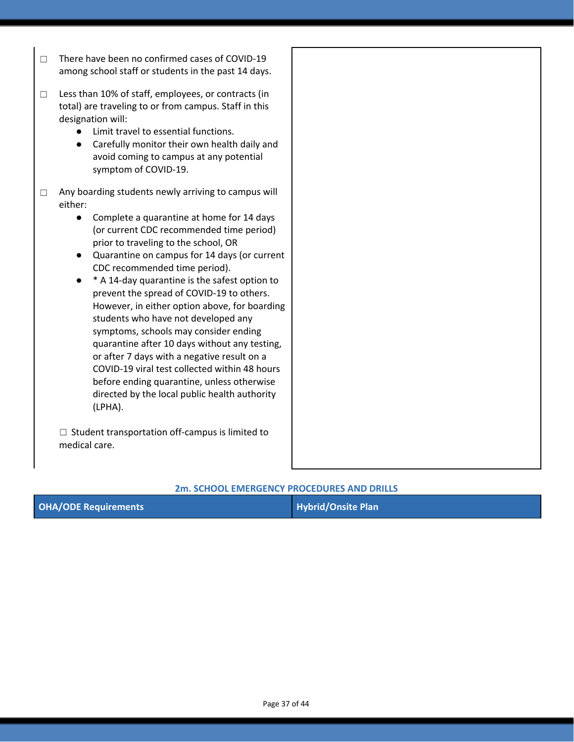☐ There have been no confirmed cases of COVID-19 among school staff or students in the past 14 days.

☐ Less than 10% of staff, employees, or contracts (in total) are traveling to or from campus. Staff in this designation will:

- Limit travel to essential functions.
- Carefully monitor their own health daily and avoid coming to campus at any potential symptom of COVID-19.
- □ Any boarding students newly arriving to campus will either:
	- Complete a quarantine at home for 14 days (or current CDC recommended time period) prior to traveling to the school, OR
	- Quarantine on campus for 14 days (or current CDC recommended time period).
	- **\*** A 14-day quarantine is the safest option to prevent the spread of COVID-19 to others. However, in either option above, for boarding students who have not developed any symptoms, schools may consider ending quarantine after 10 days without any testing, or after 7 days with a negative result on a COVID-19 viral test collected within 48 hours before ending quarantine, unless otherwise directed by the local public health authority (LPHA).

 $\Box$  Student transportation off-campus is limited to medical care.

#### **2m. SCHOOL EMERGENCY PROCEDURES AND DRILLS**

| <b>OHA/ODE Requirements</b> | Hybrid/Onsite Plan |
|-----------------------------|--------------------|
|-----------------------------|--------------------|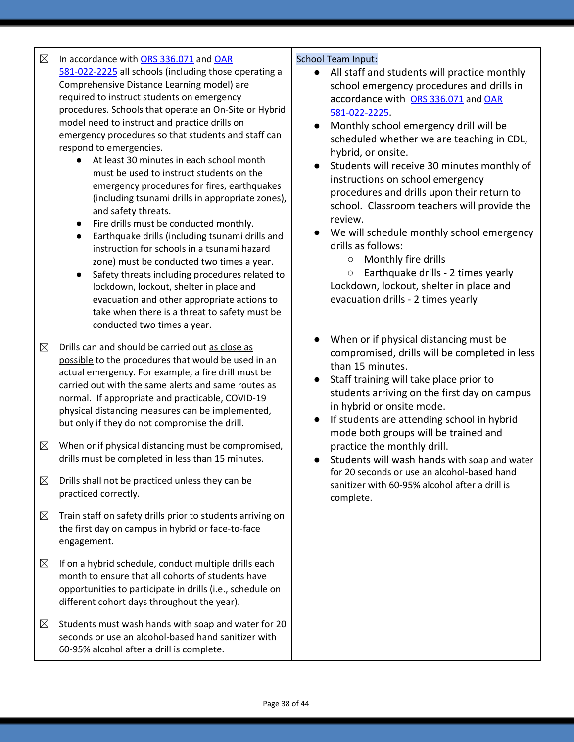# $\boxtimes$  In accordance with [O](https://www.oregonlegislature.gov/bills_laws/ors/ors336.html)RS [336.071](https://www.oregonlegislature.gov/bills_laws/ors/ors336.html) and [OAR](https://secure.sos.state.or.us/oard/viewSingleRule.action?ruleVrsnRsn=145271)

[581-022-2225](https://secure.sos.state.or.us/oard/viewSingleRule.action?ruleVrsnRsn=145271) all schools (including those operating a Comprehensive Distance Learning model) are required to instruct students on emergency procedures. Schools that operate an On-Site or Hybrid model need to instruct and practice drills on emergency procedures so that students and staff can respond to emergencies.

- At least 30 minutes in each school month must be used to instruct students on the emergency procedures for fires, earthquakes (including tsunami drills in appropriate zones), and safety threats.
- Fire drills must be conducted monthly.
- Earthquake drills (including tsunami drills and instruction for schools in a tsunami hazard zone) must be conducted two times a year.
- Safety threats including procedures related to lockdown, lockout, shelter in place and evacuation and other appropriate actions to take when there is a threat to safety must be conducted two times a year.
- $\boxtimes$  Drills can and should be carried out as close as possible to the procedures that would be used in an actual emergency. For example, a fire drill must be carried out with the same alerts and same routes as normal. If appropriate and practicable, COVID-19 physical distancing measures can be implemented, but only if they do not compromise the drill.
- $\boxtimes$  When or if physical distancing must be compromised, drills must be completed in less than 15 minutes.
- $\boxtimes$  Drills shall not be practiced unless they can be practiced correctly.
- $\boxtimes$  Train staff on safety drills prior to students arriving on the first day on campus in hybrid or face-to-face engagement.
- $\boxtimes$  If on a hybrid schedule, conduct multiple drills each month to ensure that all cohorts of students have opportunities to participate in drills (i.e., schedule on different cohort days throughout the year).
- $\boxtimes$  Students must wash hands with soap and water for 20 seconds or use an alcohol-based hand sanitizer with 60-95% alcohol after a drill is complete.

#### School Team Input:

- All staff and students will practice monthly school emergency procedures and drills in accordance with [O](https://www.oregonlegislature.gov/bills_laws/ors/ors336.html)RS [336.071](https://www.oregonlegislature.gov/bills_laws/ors/ors336.html) and [OAR](https://secure.sos.state.or.us/oard/viewSingleRule.action?ruleVrsnRsn=145271) [581-022-2225](https://secure.sos.state.or.us/oard/viewSingleRule.action?ruleVrsnRsn=145271).
- Monthly school emergency drill will be scheduled whether we are teaching in CDL, hybrid, or onsite.
- Students will receive 30 minutes monthly of instructions on school emergency procedures and drills upon their return to school. Classroom teachers will provide the review.
- We will schedule monthly school emergency drills as follows:
	- Monthly fire drills

○ Earthquake drills - 2 times yearly Lockdown, lockout, shelter in place and evacuation drills - 2 times yearly

- When or if physical distancing must be compromised, drills will be completed in less than 15 minutes.
- Staff training will take place prior to students arriving on the first day on campus in hybrid or onsite mode.
- If students are attending school in hybrid mode both groups will be trained and practice the monthly drill.
- Students will wash hands with soap and water for 20 seconds or use an alcohol-based hand sanitizer with 60-95% alcohol after a drill is complete.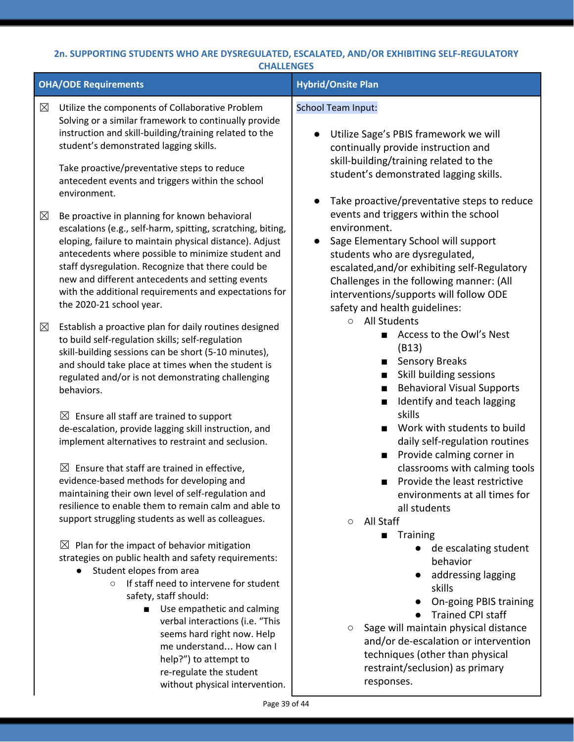### **2n. SUPPORTING STUDENTS WHO ARE DYSREGULATED, ESCALATED, AND/OR EXHIBITING SELF-REGULATORY CHALLENGES**

|             | <b>OHA/ODE Requirements</b>                                                                                                                                                                                                                                                                                                                                                                                                                                             | <b>Hybrid/Onsite Plan</b>                                                                                                                                                                                                                                                                                                                                         |
|-------------|-------------------------------------------------------------------------------------------------------------------------------------------------------------------------------------------------------------------------------------------------------------------------------------------------------------------------------------------------------------------------------------------------------------------------------------------------------------------------|-------------------------------------------------------------------------------------------------------------------------------------------------------------------------------------------------------------------------------------------------------------------------------------------------------------------------------------------------------------------|
|             |                                                                                                                                                                                                                                                                                                                                                                                                                                                                         |                                                                                                                                                                                                                                                                                                                                                                   |
| $\boxtimes$ | Utilize the components of Collaborative Problem<br>Solving or a similar framework to continually provide<br>instruction and skill-building/training related to the<br>student's demonstrated lagging skills.                                                                                                                                                                                                                                                            | <b>School Team Input:</b><br>Utilize Sage's PBIS framework we will<br>continually provide instruction and                                                                                                                                                                                                                                                         |
|             | Take proactive/preventative steps to reduce<br>antecedent events and triggers within the school<br>environment.                                                                                                                                                                                                                                                                                                                                                         | skill-building/training related to the<br>student's demonstrated lagging skills.                                                                                                                                                                                                                                                                                  |
| $\boxtimes$ | Be proactive in planning for known behavioral<br>escalations (e.g., self-harm, spitting, scratching, biting,<br>eloping, failure to maintain physical distance). Adjust<br>antecedents where possible to minimize student and<br>staff dysregulation. Recognize that there could be<br>new and different antecedents and setting events<br>with the additional requirements and expectations for<br>the 2020-21 school year.                                            | Take proactive/preventative steps to reduce<br>$\bullet$<br>events and triggers within the school<br>environment.<br>Sage Elementary School will support<br>students who are dysregulated,<br>escalated, and/or exhibiting self-Regulatory<br>Challenges in the following manner: (All<br>interventions/supports will follow ODE<br>safety and health guidelines: |
| $\boxtimes$ | Establish a proactive plan for daily routines designed<br>to build self-regulation skills; self-regulation<br>skill-building sessions can be short (5-10 minutes),<br>and should take place at times when the student is<br>regulated and/or is not demonstrating challenging<br>behaviors.                                                                                                                                                                             | <b>All Students</b><br>$\circ$<br>Access to the Owl's Nest<br>■<br>(B13)<br><b>Sensory Breaks</b><br>Skill building sessions<br><b>Behavioral Visual Supports</b><br>п<br>Identify and teach lagging                                                                                                                                                              |
|             | $\boxtimes$ Ensure all staff are trained to support<br>de-escalation, provide lagging skill instruction, and<br>implement alternatives to restraint and seclusion.                                                                                                                                                                                                                                                                                                      | skills<br>Work with students to build<br>daily self-regulation routines<br>Provide calming corner in                                                                                                                                                                                                                                                              |
|             | Ensure that staff are trained in effective,<br>$\bowtie$<br>evidence-based methods for developing and<br>maintaining their own level of self-regulation and<br>resilience to enable them to remain calm and able to<br>support struggling students as well as colleagues.                                                                                                                                                                                               | classrooms with calming tools<br>Provide the least restrictive<br>environments at all times for<br>all students<br>All Staff<br>$\circ$                                                                                                                                                                                                                           |
|             | $\boxtimes$ Plan for the impact of behavior mitigation<br>strategies on public health and safety requirements:<br>Student elopes from area<br>$\bullet$<br>If staff need to intervene for student<br>$\circ$<br>safety, staff should:<br>Use empathetic and calming<br>$\blacksquare$<br>verbal interactions (i.e. "This<br>seems hard right now. Help<br>me understand How can I<br>help?") to attempt to<br>re-regulate the student<br>without physical intervention. | Training<br>■<br>de escalating student<br>behavior<br>addressing lagging<br>skills<br>On-going PBIS training<br><b>Trained CPI staff</b><br>Sage will maintain physical distance<br>$\circ$<br>and/or de-escalation or intervention<br>techniques (other than physical<br>restraint/seclusion) as primary<br>responses.                                           |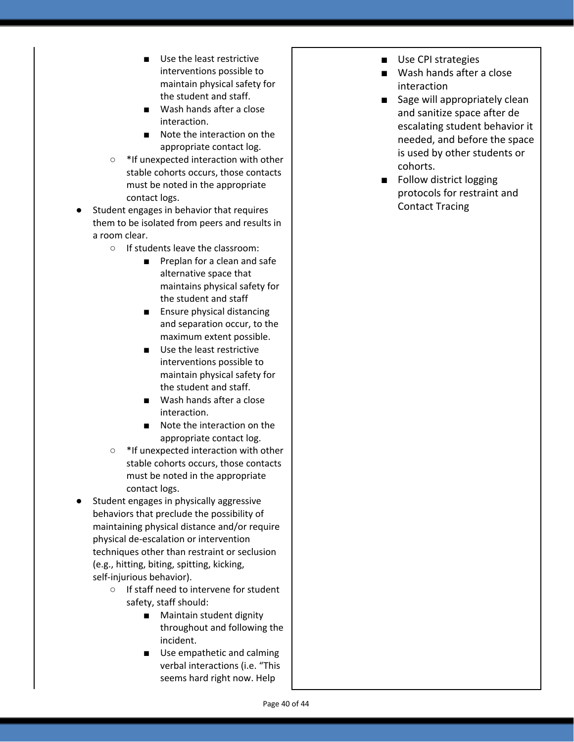- Use the least restrictive interventions possible to maintain physical safety for the student and staff.
- Wash hands after a close interaction.
- Note the interaction on the appropriate contact log.
- \*If unexpected interaction with other stable cohorts occurs, those contacts must be noted in the appropriate contact logs.
- Student engages in behavior that requires them to be isolated from peers and results in a room clear.
	- If students leave the classroom:
		- Preplan for a clean and safe alternative space that maintains physical safety for the student and staff
		- Ensure physical distancing and separation occur, to the maximum extent possible.
		- Use the least restrictive interventions possible to maintain physical safety for the student and staff.
		- Wash hands after a close interaction.
		- Note the interaction on the appropriate contact log.
	- \*If unexpected interaction with other stable cohorts occurs, those contacts must be noted in the appropriate contact logs.
- Student engages in physically aggressive behaviors that preclude the possibility of maintaining physical distance and/or require physical de-escalation or intervention techniques other than restraint or seclusion (e.g., hitting, biting, spitting, kicking, self-injurious behavior).
	- If staff need to intervene for student safety, staff should:
		- Maintain student dignity throughout and following the incident.
		- Use empathetic and calming verbal interactions (i.e. "This seems hard right now. Help
- Use CPI strategies
- Wash hands after a close interaction
- Sage will appropriately clean and sanitize space after de escalating student behavior it needed, and before the space is used by other students or cohorts.
- Follow district logging protocols for restraint and Contact Tracing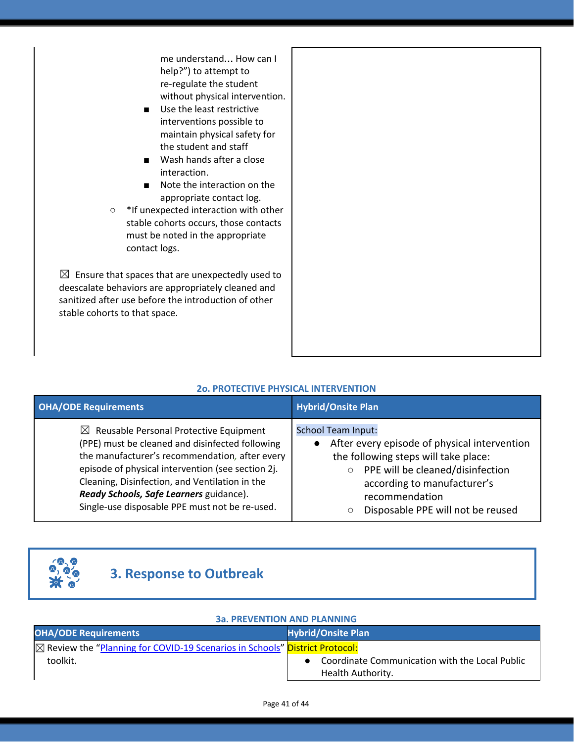me understand… How can I help?") to attempt to re-regulate the student without physical intervention.

- Use the least restrictive interventions possible to maintain physical safety for the student and staff
- Wash hands after a close interaction.
- Note the interaction on the appropriate contact log.

○ \*If unexpected interaction with other stable cohorts occurs, those contacts must be noted in the appropriate contact logs.

 $\boxtimes$  Ensure that spaces that are unexpectedly used to deescalate behaviors are appropriately cleaned and sanitized after use before the introduction of other stable cohorts to that space.

| <b>OHA/ODE Requirements</b>                                                                                                                                                                                                                                                                                                                                 | <b>Hybrid/Onsite Plan</b>                                                                                                                                                                                                                   |  |
|-------------------------------------------------------------------------------------------------------------------------------------------------------------------------------------------------------------------------------------------------------------------------------------------------------------------------------------------------------------|---------------------------------------------------------------------------------------------------------------------------------------------------------------------------------------------------------------------------------------------|--|
| $\boxtimes$ Reusable Personal Protective Equipment<br>(PPE) must be cleaned and disinfected following<br>the manufacturer's recommendation, after every<br>episode of physical intervention (see section 2j.<br>Cleaning, Disinfection, and Ventilation in the<br>Ready Schools, Safe Learners guidance).<br>Single-use disposable PPE must not be re-used. | <b>School Team Input:</b><br>After every episode of physical intervention<br>the following steps will take place:<br>PPE will be cleaned/disinfection<br>according to manufacturer's<br>recommendation<br>Disposable PPE will not be reused |  |

# **2o. PROTECTIVE PHYSICAL INTERVENTION**



# **3. Response to Outbreak**

# **3a. PREVENTION AND PLANNING**

| <b>OHA/ODE Requirements</b>                                                                   | <b>Hybrid/Onsite Plan</b>                      |
|-----------------------------------------------------------------------------------------------|------------------------------------------------|
| $\boxtimes$ Review the "Planning for COVID-19 Scenarios in Schools" <b>District Protocol:</b> |                                                |
| toolkit.                                                                                      | Coordinate Communication with the Local Public |
|                                                                                               | Health Authority.                              |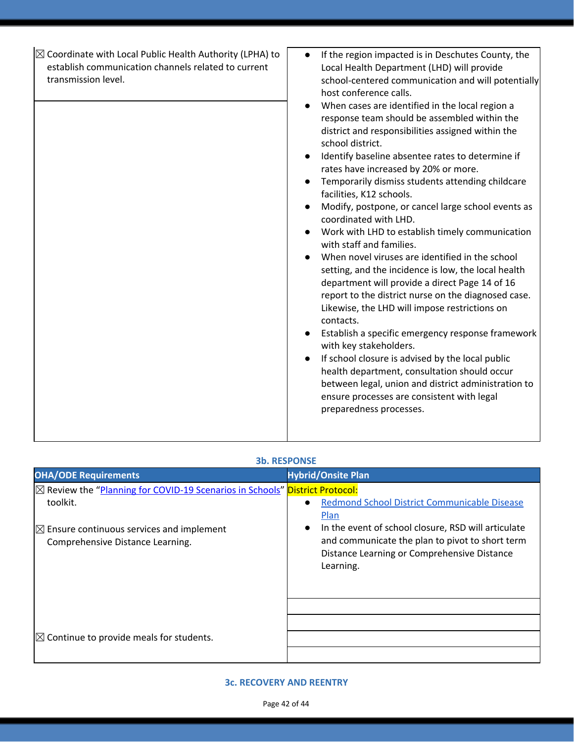| $\boxtimes$ Coordinate with Local Public Health Authority (LPHA) to<br>If the region impacted is in Deschutes County, the<br>$\bullet$<br>establish communication channels related to current<br>Local Health Department (LHD) will provide<br>transmission level.<br>host conference calls.<br>When cases are identified in the local region a<br>$\bullet$<br>response team should be assembled within the<br>district and responsibilities assigned within the<br>school district.<br>Identify baseline absentee rates to determine if<br>$\bullet$<br>rates have increased by 20% or more.<br>Temporarily dismiss students attending childcare<br>facilities, K12 schools.<br>Modify, postpone, or cancel large school events as<br>$\bullet$<br>coordinated with LHD.<br>Work with LHD to establish timely communication<br>with staff and families.<br>When novel viruses are identified in the school<br>setting, and the incidence is low, the local health<br>department will provide a direct Page 14 of 16<br>report to the district nurse on the diagnosed case.<br>Likewise, the LHD will impose restrictions on<br>contacts.<br>Establish a specific emergency response framework<br>with key stakeholders.<br>If school closure is advised by the local public<br>$\bullet$<br>health department, consultation should occur<br>between legal, union and district administration to<br>ensure processes are consistent with legal<br>preparedness processes. |                                                    |
|----------------------------------------------------------------------------------------------------------------------------------------------------------------------------------------------------------------------------------------------------------------------------------------------------------------------------------------------------------------------------------------------------------------------------------------------------------------------------------------------------------------------------------------------------------------------------------------------------------------------------------------------------------------------------------------------------------------------------------------------------------------------------------------------------------------------------------------------------------------------------------------------------------------------------------------------------------------------------------------------------------------------------------------------------------------------------------------------------------------------------------------------------------------------------------------------------------------------------------------------------------------------------------------------------------------------------------------------------------------------------------------------------------------------------------------------------------------------------|----------------------------------------------------|
|                                                                                                                                                                                                                                                                                                                                                                                                                                                                                                                                                                                                                                                                                                                                                                                                                                                                                                                                                                                                                                                                                                                                                                                                                                                                                                                                                                                                                                                                            | school-centered communication and will potentially |

### **3b. RESPONSE**

| <b>OHA/ODE Requirements</b>                                                                                                                                                                 | <b>Hybrid/Onsite Plan</b>                                                                                                                                                                                                                      |
|---------------------------------------------------------------------------------------------------------------------------------------------------------------------------------------------|------------------------------------------------------------------------------------------------------------------------------------------------------------------------------------------------------------------------------------------------|
| <b>⊠ Review the "Planning for COVID-19 Scenarios in Schools" District Protocol:</b><br>toolkit.<br>$\boxtimes$ Ensure continuous services and implement<br>Comprehensive Distance Learning. | <b>Redmond School District Communicable Disease</b><br>Plan<br>In the event of school closure, RSD will articulate<br>$\bullet$<br>and communicate the plan to pivot to short term<br>Distance Learning or Comprehensive Distance<br>Learning. |
| $\boxtimes$ Continue to provide meals for students.                                                                                                                                         |                                                                                                                                                                                                                                                |

### **3c. RECOVERY AND REENTRY**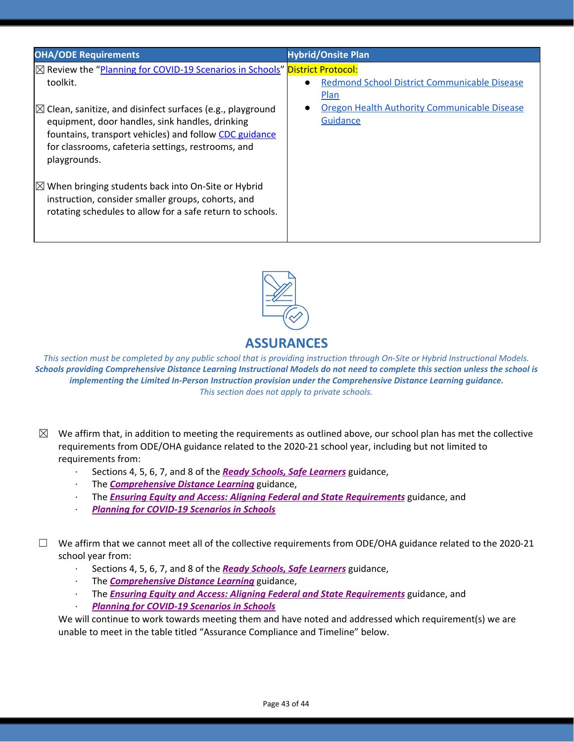| <b>OHA/ODE Requirements</b>                                                                                                                                                          | <b>Hybrid/Onsite Plan</b>                           |
|--------------------------------------------------------------------------------------------------------------------------------------------------------------------------------------|-----------------------------------------------------|
| $\boxtimes$ Review the "Planning for COVID-19 Scenarios in Schools" <b>District Protocol:</b>                                                                                        |                                                     |
| toolkit.                                                                                                                                                                             | <b>Redmond School District Communicable Disease</b> |
|                                                                                                                                                                                      | Plan                                                |
| $\boxtimes$ Clean, sanitize, and disinfect surfaces (e.g., playground                                                                                                                | Oregon Health Authority Communicable Disease        |
| equipment, door handles, sink handles, drinking                                                                                                                                      | Guidance                                            |
| fountains, transport vehicles) and follow CDC guidance                                                                                                                               |                                                     |
| for classrooms, cafeteria settings, restrooms, and<br>playgrounds.                                                                                                                   |                                                     |
| $ \mathbb{Z} $ When bringing students back into On-Site or Hybrid<br>instruction, consider smaller groups, cohorts, and<br>rotating schedules to allow for a safe return to schools. |                                                     |
|                                                                                                                                                                                      |                                                     |



This section must be completed by any public school that is providing instruction through On-Site or Hybrid Instructional Models. Schools providing Comprehensive Distance Learning Instructional Models do not need to complete this section unless the school is *implementing the Limited In-Person Instruction provision under the Comprehensive Distance Learning guidance. This section does not apply to private schools.*

- $\boxtimes$  We affirm that, in addition to meeting the requirements as outlined above, our school plan has met the collective requirements from ODE/OHA guidance related to the 2020-21 school year, including but not limited to requirements from:
	- · Sections 4, 5, 6, 7, and 8 of the *[R](https://www.oregon.gov/ode/students-and-family/healthsafety/Documents/Ready%20Schools%20Safe%20Learners%202020-21%20Guidance.pdf)eady Schools, Safe [Learners](https://www.oregon.gov/ode/students-and-family/healthsafety/Documents/Ready%20Schools%20Safe%20Learners%202020-21%20Guidance.pdf)* guidance,
	- · The *[Comprehensive](https://www.oregon.gov/ode/educator-resources/standards/Pages/Comprehensive-Distance-Learning.aspx) Distance Learning* guidance,
	- · The *Ensuring Equity and Access: Aligning Federal and State [Requirements](https://www.oregon.gov/ode/students-and-family/healthsafety/Documents/Ensuring%20Equity%20and%20Access%20Aligning%20State%20and%20Federal%20Requirements.pdf)* guidance, and
	- · *Planning for [COVID-19](https://www.oregon.gov/ode/students-and-family/healthsafety/Documents/Planning%20and%20Responding%20to%20COVID-19%20Scenarios%20in%20Schools%20August%202020.pdf) Scenarios in Schools*

 $\Box$  We affirm that we cannot meet all of the collective requirements from ODE/OHA guidance related to the 2020-21 school year from:

- · Sections 4, 5, 6, 7, and 8 of the *[R](https://www.oregon.gov/ode/students-and-family/healthsafety/Documents/Ready%20Schools%20Safe%20Learners%202020-21%20Guidance.pdf)eady Schools, Safe [Learners](https://www.oregon.gov/ode/students-and-family/healthsafety/Documents/Ready%20Schools%20Safe%20Learners%202020-21%20Guidance.pdf)* guidance,
- · The *[Comprehensive](https://www.oregon.gov/ode/educator-resources/standards/Pages/Comprehensive-Distance-Learning.aspx) Distance Learning* guidance,
- · The *Ensuring Equity and Access: Aligning Federal and State [Requirements](https://www.oregon.gov/ode/students-and-family/healthsafety/Documents/Ensuring%20Equity%20and%20Access%20Aligning%20State%20and%20Federal%20Requirements.pdf)* guidance, and
- · *Planning for [COVID-19](https://www.oregon.gov/ode/students-and-family/healthsafety/Documents/Planning%20and%20Responding%20to%20COVID-19%20Scenarios%20in%20Schools%20August%202020.pdf) Scenarios in Schools*

We will continue to work towards meeting them and have noted and addressed which requirement(s) we are unable to meet in the table titled "Assurance Compliance and Timeline" below.